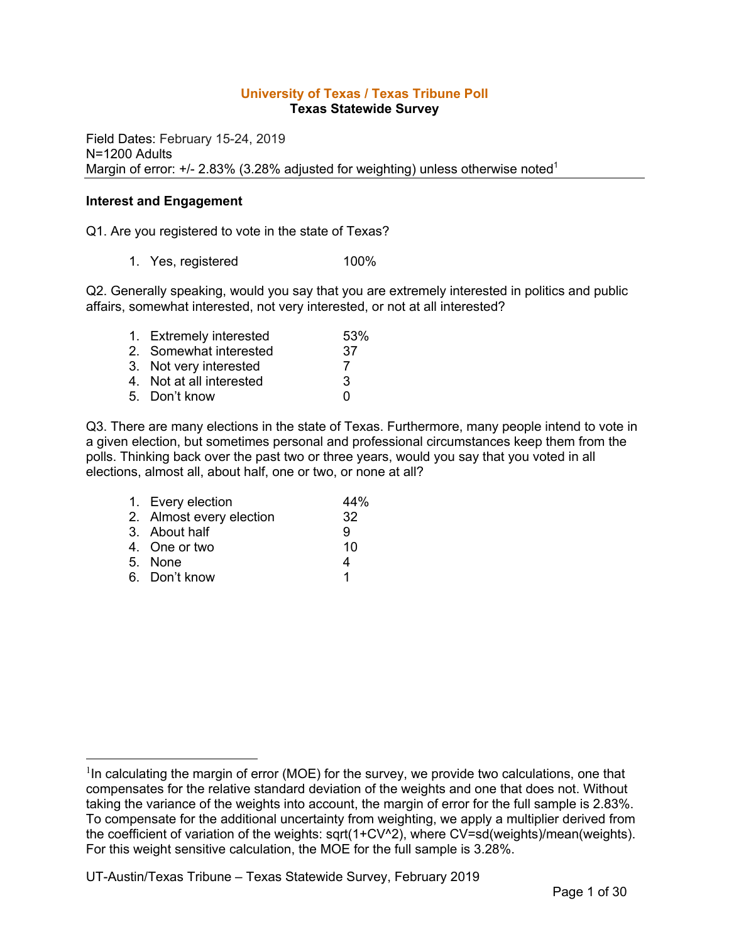#### **University of Texas / Texas Tribune Poll Texas Statewide Survey**

Field Dates: February 15-24, 2019 N=1200 Adults Margin of error:  $+/- 2.83\%$  (3.28% adjusted for weighting) unless otherwise noted<sup>1</sup>

#### **Interest and Engagement**

Q1. Are you registered to vote in the state of Texas?

1. Yes, registered 100%

Q2. Generally speaking, would you say that you are extremely interested in politics and public affairs, somewhat interested, not very interested, or not at all interested?

| 1. Extremely interested  | 53% |
|--------------------------|-----|
| 2. Somewhat interested   | 37  |
| 3. Not very interested   |     |
| 4. Not at all interested | 3   |
| 5. Don't know            | U   |
|                          |     |

Q3. There are many elections in the state of Texas. Furthermore, many people intend to vote in a given election, but sometimes personal and professional circumstances keep them from the polls. Thinking back over the past two or three years, would you say that you voted in all elections, almost all, about half, one or two, or none at all?

| 1. Every election        | 44% |
|--------------------------|-----|
| 2. Almost every election | 32  |
| 3. About half            | 9   |
| 4. One or two            | 10  |
| 5. None                  | 4   |
| 6. Don't know            | 1   |

 $1$ In calculating the margin of error (MOE) for the survey, we provide two calculations, one that compensates for the relative standard deviation of the weights and one that does not. Without taking the variance of the weights into account, the margin of error for the full sample is 2.83%. To compensate for the additional uncertainty from weighting, we apply a multiplier derived from the coefficient of variation of the weights: sqrt(1+CV^2), where CV=sd(weights)/mean(weights). For this weight sensitive calculation, the MOE for the full sample is 3.28%.

UT-Austin/Texas Tribune – Texas Statewide Survey, February 2019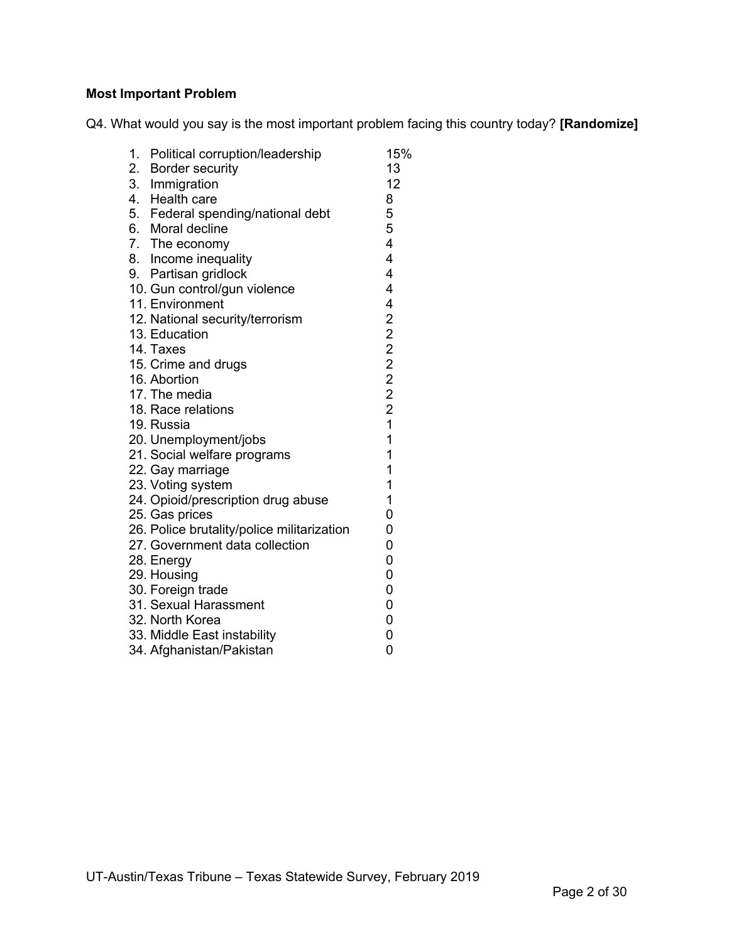# **Most Important Problem**

Q4. What would you say is the most important problem facing this country today? **[Randomize]**

| 0<br>34. Afghanistan/Pakistan                                                                                                                                                                            | 27. Government data collection<br>0<br>0<br>28. Energy<br>0<br>29. Housing<br>0<br>30. Foreign trade<br>$\overline{0}$<br>31. Sexual Harassment<br>0<br>32. North Korea<br>0<br>33. Middle East instability | 23. Voting system<br>24. Opioid/prescription drug abuse<br>25. Gas prices<br>26. Police brutality/police militarization | 20. Unemployment/jobs<br>21. Social welfare programs | 18. Race relations | 17. The media | 15. Crime and drugs | 14. Taxes | 12. National security/terrorism | 11. Environment | 9. Partisan gridlock | 4. Health care<br>8<br>5. Federal spending/national debt<br>6. Moral decline<br>7. The economy | 1.<br>2.<br>3. | Political corruption/leadership<br><b>Border security</b><br>Immigration | 15%<br>13<br>12 |
|----------------------------------------------------------------------------------------------------------------------------------------------------------------------------------------------------------|-------------------------------------------------------------------------------------------------------------------------------------------------------------------------------------------------------------|-------------------------------------------------------------------------------------------------------------------------|------------------------------------------------------|--------------------|---------------|---------------------|-----------|---------------------------------|-----------------|----------------------|------------------------------------------------------------------------------------------------|----------------|--------------------------------------------------------------------------|-----------------|
| 5<br>5<br>4<br>8. Income inequality<br>4<br>4<br>4<br>10. Gun control/gun violence<br>4<br>2222221<br>13. Education<br>16. Abortion<br>19. Russia<br>1<br>1<br>1<br>22. Gay marriage<br>1<br>1<br>0<br>0 |                                                                                                                                                                                                             |                                                                                                                         |                                                      |                    |               |                     |           |                                 |                 |                      |                                                                                                |                |                                                                          |                 |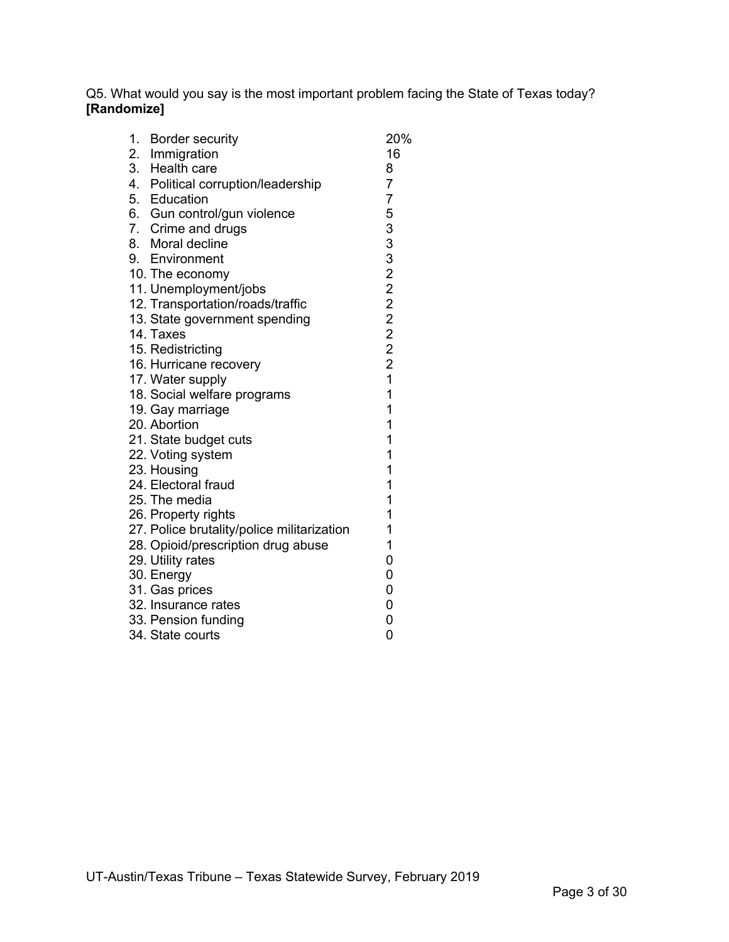Q5. What would you say is the most important problem facing the State of Texas today? **[Randomize]**

| 1. Border security                         | 20%            |
|--------------------------------------------|----------------|
| 2. Immigration<br>3. Health care           | 16             |
|                                            | 8              |
| 4. Political corruption/leadership         | $\overline{7}$ |
| 5. Education                               | 7              |
| 6. Gun control/gun violence                | 5              |
|                                            |                |
| 7. Crime and drugs<br>8. Moral decline     |                |
| 9. Environment                             |                |
| 10. The economy                            |                |
| 11. Unemployment/jobs                      |                |
| 12. Transportation/roads/traffic           |                |
| 13. State government spending              |                |
| 14. Taxes                                  |                |
| 15. Redistricting                          | 3332222221     |
| 16. Hurricane recovery                     |                |
| 17. Water supply                           |                |
| 18. Social welfare programs                | $\mathbf{1}$   |
| 19. Gay marriage                           | 1              |
| 20. Abortion                               | 1              |
| 21. State budget cuts                      | $\mathbf{1}$   |
| 22. Voting system                          | 1              |
| 23. Housing                                | 1              |
| 24. Electoral fraud                        | 1              |
| 25. The media                              | 1              |
| 26. Property rights                        | 1              |
| 27. Police brutality/police militarization | 1              |
| 28. Opioid/prescription drug abuse         | 1              |
| 29. Utility rates                          | 0              |
| 30. Energy                                 | 0              |
| 31. Gas prices                             | 0              |
| 32. Insurance rates                        | 0              |
| 33. Pension funding                        | 0              |
| 34. State courts                           | 0              |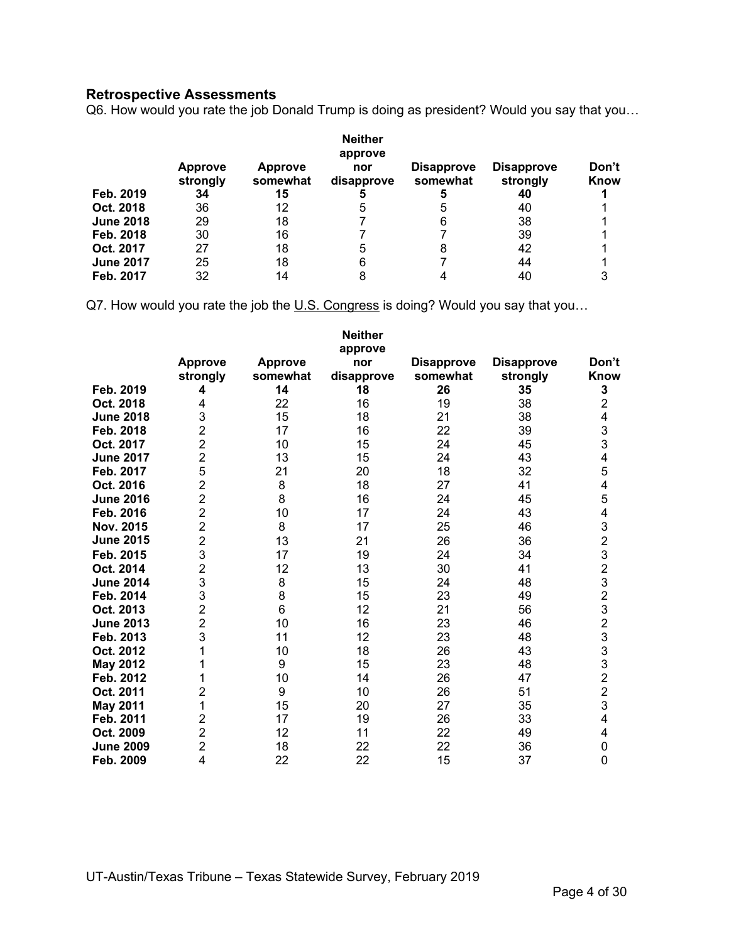# **Retrospective Assessments**

Q6. How would you rate the job Donald Trump is doing as president? Would you say that you…

|                  | <b>Approve</b><br>strongly | <b>Approve</b><br>somewhat | <b>Neither</b><br>approve<br>nor<br>disapprove | <b>Disapprove</b><br>somewhat | <b>Disapprove</b><br>strongly | Don't<br>Know |
|------------------|----------------------------|----------------------------|------------------------------------------------|-------------------------------|-------------------------------|---------------|
| Feb. 2019        | 34                         | 15                         |                                                |                               | 40                            |               |
| Oct. 2018        | 36                         | 12                         | 5                                              | :5                            | 40                            |               |
| <b>June 2018</b> | 29                         | 18                         |                                                |                               | 38                            |               |
| Feb. 2018        | 30                         | 16                         |                                                |                               | 39                            |               |
| Oct. 2017        | 27                         | 18                         | 5                                              |                               | 42                            |               |
| <b>June 2017</b> | 25                         | 18                         | 6                                              |                               | 44                            |               |
| Feb. 2017        | 32                         | 14                         | 8                                              |                               | 40                            |               |

Q7. How would you rate the job the U.S. Congress is doing? Would you say that you...

|                  | <b>Approve</b><br>strongly | <b>Approve</b><br>somewhat | <b>Neither</b><br>approve<br>nor<br>disapprove | <b>Disapprove</b><br>somewhat | <b>Disapprove</b><br>strongly | Don't<br>Know                              |
|------------------|----------------------------|----------------------------|------------------------------------------------|-------------------------------|-------------------------------|--------------------------------------------|
| Feb. 2019        | 4                          | 14                         | 18                                             | 26                            | 35                            | 3                                          |
| Oct. 2018        | 4                          | 22                         | 16                                             | 19                            | 38                            | $\overline{c}$                             |
| <b>June 2018</b> | 3                          | 15                         | 18                                             | 21                            | 38                            | 4                                          |
| Feb. 2018        | $\overline{2}$             | 17                         | 16                                             | 22                            | 39                            | 3                                          |
| Oct. 2017        | $\overline{2}$             | 10                         | 15                                             | 24                            | 45                            | 3                                          |
| <b>June 2017</b> | $\overline{2}$             | 13                         | 15                                             | 24                            | 43                            | 4                                          |
| Feb. 2017        | 5                          | 21                         | 20                                             | 18                            | 32                            | 5                                          |
| Oct. 2016        | $\overline{2}$             | 8                          | 18                                             | 27                            | 41                            | $\overline{\mathbf{4}}$                    |
| <b>June 2016</b> | $\overline{2}$             | 8                          | 16                                             | 24                            | 45                            | 5                                          |
| Feb. 2016        | $\overline{2}$             | 10                         | 17                                             | 24                            | 43                            | 4                                          |
| <b>Nov. 2015</b> | $\overline{2}$             | 8                          | 17                                             | 25                            | 46                            | 3                                          |
| <b>June 2015</b> | $\overline{2}$             | 13                         | 21                                             | 26                            | 36                            | $\overline{c}$                             |
| Feb. 2015        | 3                          | 17                         | 19                                             | 24                            | 34                            | $\frac{3}{2}$                              |
| Oct. 2014        | $\overline{2}$             | 12                         | 13                                             | 30                            | 41                            |                                            |
| <b>June 2014</b> | 3                          | 8                          | 15                                             | 24                            | 48                            | 3                                          |
| Feb. 2014        | 3                          | 8                          | 15                                             | 23                            | 49                            | $\overline{2}$                             |
| Oct. 2013        | $\overline{2}$             | 6                          | 12                                             | 21                            | 56                            |                                            |
| <b>June 2013</b> | $\overline{2}$             | 10                         | 16                                             | 23                            | 46                            | $\begin{array}{c} 3 \\ 2 \\ 3 \end{array}$ |
| Feb. 2013        | 3                          | 11                         | 12                                             | 23                            | 48                            |                                            |
| Oct. 2012        | 1                          | 10                         | 18                                             | 26                            | 43                            | $\frac{3}{3}$                              |
| <b>May 2012</b>  | 1                          | 9                          | 15                                             | 23                            | 48                            |                                            |
| Feb. 2012        | 1                          | 10                         | 14                                             | 26                            | 47                            | $\overline{2}$                             |
| Oct. 2011        | $\overline{2}$             | 9                          | 10                                             | 26                            | 51                            | $\overline{2}$                             |
| <b>May 2011</b>  | 1                          | 15                         | 20                                             | 27                            | 35                            | 3                                          |
| Feb. 2011        | $\overline{c}$             | 17                         | 19                                             | 26                            | 33                            | 4                                          |
| Oct. 2009        | $\overline{2}$             | 12                         | 11                                             | 22                            | 49                            | 4                                          |
| <b>June 2009</b> | $\overline{2}$             | 18                         | 22                                             | 22                            | 36                            | 0                                          |
| Feb. 2009        | 4                          | 22                         | 22                                             | 15                            | 37                            | $\overline{0}$                             |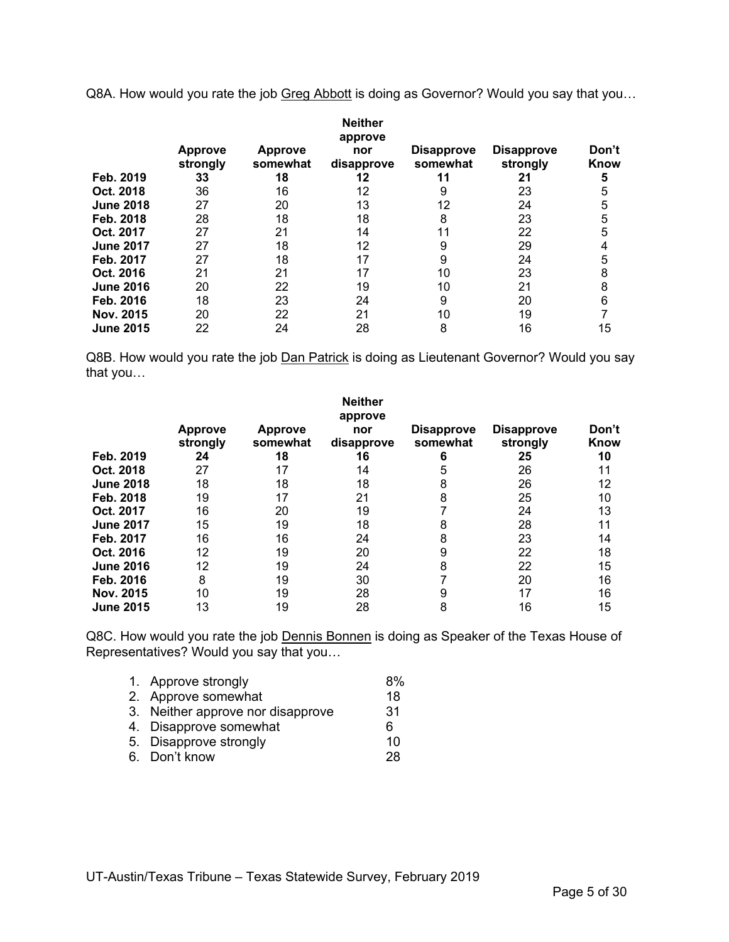Q8A. How would you rate the job Greg Abbott is doing as Governor? Would you say that you...

|                  |                            |                            | <b>Neither</b><br>approve |                               |                               |               |
|------------------|----------------------------|----------------------------|---------------------------|-------------------------------|-------------------------------|---------------|
|                  | <b>Approve</b><br>strongly | <b>Approve</b><br>somewhat | nor<br>disapprove         | <b>Disapprove</b><br>somewhat | <b>Disapprove</b><br>strongly | Don't<br>Know |
| Feb. 2019        | 33                         | 18                         | 12                        |                               | 21                            | 5             |
| Oct. 2018        | 36                         | 16                         | 12                        | 9                             | 23                            | 5             |
| <b>June 2018</b> | 27                         | 20                         | 13                        | 12                            | 24                            | 5             |
| Feb. 2018        | 28                         | 18                         | 18                        | 8                             | 23                            | 5             |
| Oct. 2017        | 27                         | 21                         | 14                        | 11                            | 22                            | 5             |
| <b>June 2017</b> | 27                         | 18                         | 12                        |                               | 29                            |               |
| Feb. 2017        | 27                         | 18                         | 17                        |                               | 24                            | 5             |
| Oct. 2016        | 21                         | 21                         | 17                        | 10                            | 23                            | 8             |
| <b>June 2016</b> | 20                         | 22                         | 19                        | 10                            | 21                            | 8             |
| Feb. 2016        | 18                         | 23                         | 24                        | 9                             | 20                            | 6             |
| Nov. 2015        | 20                         | 22                         | 21                        | 10                            | 19                            |               |
| <b>June 2015</b> | 22                         | 24                         | 28                        | 8                             | 16                            | 15            |

Q8B. How would you rate the job Dan Patrick is doing as Lieutenant Governor? Would you say that you…

|                  |                            |                            | <b>Neither</b><br>approve |                               |                               |               |
|------------------|----------------------------|----------------------------|---------------------------|-------------------------------|-------------------------------|---------------|
|                  | <b>Approve</b><br>strongly | <b>Approve</b><br>somewhat | nor<br>disapprove         | <b>Disapprove</b><br>somewhat | <b>Disapprove</b><br>strongly | Don't<br>Know |
| Feb. 2019        | 24                         | 18                         | 16                        | 6                             | 25                            | 10            |
| Oct. 2018        | 27                         | 17                         | 14                        | 5                             | 26                            | 11            |
| <b>June 2018</b> | 18                         | 18                         | 18                        | 8                             | 26                            | 12            |
| Feb. 2018        | 19                         | 17                         | 21                        | 8                             | 25                            | 10            |
| Oct. 2017        | 16                         | 20                         | 19                        |                               | 24                            | 13            |
| <b>June 2017</b> | 15                         | 19                         | 18                        | 8                             | 28                            | 11            |
| Feb. 2017        | 16                         | 16                         | 24                        | 8                             | 23                            | 14            |
| Oct. 2016        | 12                         | 19                         | 20                        | 9                             | 22                            | 18            |
| <b>June 2016</b> | 12                         | 19                         | 24                        | 8                             | 22                            | 15            |
| Feb. 2016        | 8                          | 19                         | 30                        |                               | 20                            | 16            |
| Nov. 2015        | 10                         | 19                         | 28                        | 9                             | 17                            | 16            |
| <b>June 2015</b> | 13                         | 19                         | 28                        | 8                             | 16                            | 15            |

Q8C. How would you rate the job Dennis Bonnen is doing as Speaker of the Texas House of Representatives? Would you say that you…

| 1. Approve strongly               | 8% |
|-----------------------------------|----|
| 2. Approve somewhat               | 18 |
| 3. Neither approve nor disapprove | 31 |
| 4. Disapprove somewhat            | 6  |
| 5. Disapprove strongly            | 10 |
| 6. Don't know                     | 28 |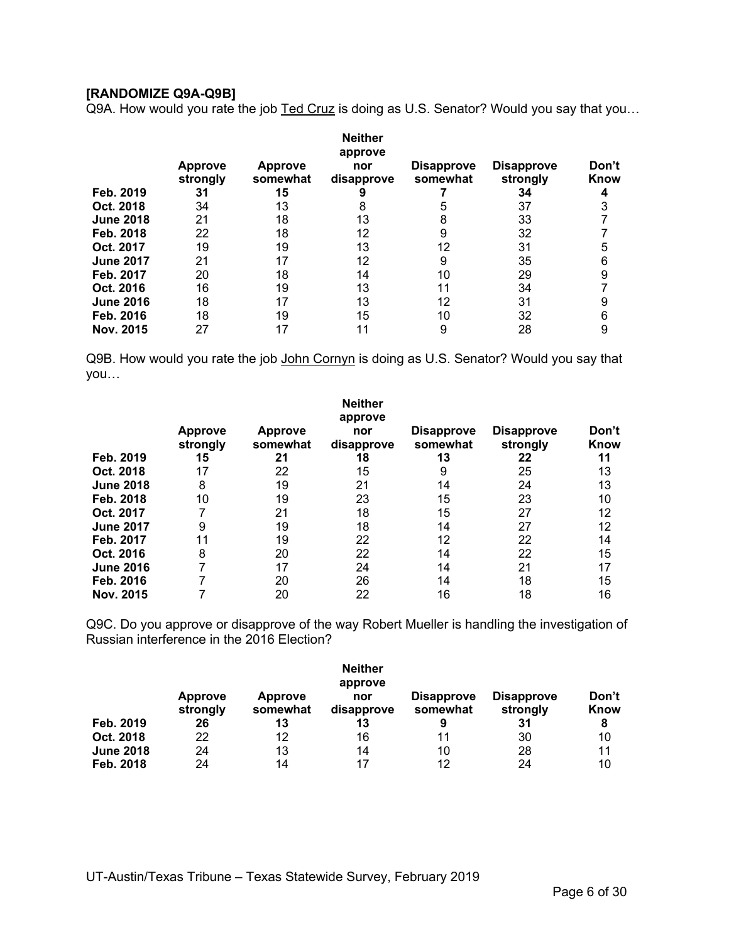#### **[RANDOMIZE Q9A-Q9B]**

Q9A. How would you rate the job Ted Cruz is doing as U.S. Senator? Would you say that you...

|                  |                            |                            | <b>Neither</b><br>approve |                               |                               |               |
|------------------|----------------------------|----------------------------|---------------------------|-------------------------------|-------------------------------|---------------|
|                  | <b>Approve</b><br>strongly | <b>Approve</b><br>somewhat | nor<br>disapprove         | <b>Disapprove</b><br>somewhat | <b>Disapprove</b><br>strongly | Don't<br>Know |
| Feb. 2019        | 31                         | 15                         | 9                         |                               | 34                            |               |
| Oct. 2018        | 34                         | 13                         |                           |                               | 37                            |               |
| <b>June 2018</b> | 21                         | 18                         | 13                        |                               | 33                            |               |
| Feb. 2018        | 22                         | 18                         | 12                        |                               | 32                            |               |
| Oct. 2017        | 19                         | 19                         | 13                        | 12                            | 31                            | 5             |
| <b>June 2017</b> | 21                         | 17                         | 12                        | 9                             | 35                            | 6             |
| Feb. 2017        | 20                         | 18                         | 14                        | 10                            | 29                            | 9             |
| Oct. 2016        | 16                         | 19                         | 13                        | 11                            | 34                            |               |
| <b>June 2016</b> | 18                         | 17                         | 13                        | 12                            | 31                            | 9             |
| Feb. 2016        | 18                         | 19                         | 15                        | 10                            | 32                            | 6             |
| Nov. 2015        | 27                         |                            |                           | 9                             | 28                            | 9             |

Q9B. How would you rate the job John Cornyn is doing as U.S. Senator? Would you say that you…

|                  |                            |                            | <b>Neither</b><br>approve |                               |                               |               |
|------------------|----------------------------|----------------------------|---------------------------|-------------------------------|-------------------------------|---------------|
|                  | <b>Approve</b><br>strongly | <b>Approve</b><br>somewhat | nor<br>disapprove         | <b>Disapprove</b><br>somewhat | <b>Disapprove</b><br>strongly | Don't<br>Know |
| Feb. 2019        | 15                         | 21                         | 18                        | 13                            | 22                            | 11            |
| Oct. 2018        | 17                         | 22                         | 15                        | 9                             | 25                            | 13            |
| <b>June 2018</b> | 8                          | 19                         | 21                        | 14                            | 24                            | 13            |
| Feb. 2018        | 10                         | 19                         | 23                        | 15                            | 23                            | 10            |
| Oct. 2017        |                            | 21                         | 18                        | 15                            | 27                            | 12            |
| <b>June 2017</b> | 9                          | 19                         | 18                        | 14                            | 27                            | 12            |
| Feb. 2017        | 11                         | 19                         | 22                        | 12                            | 22                            | 14            |
| Oct. 2016        | 8                          | 20                         | 22                        | 14                            | 22                            | 15            |
| <b>June 2016</b> |                            | 17                         | 24                        | 14                            | 21                            | 17            |
| Feb. 2016        |                            | 20                         | 26                        | 14                            | 18                            | 15            |
| Nov. 2015        |                            | 20                         | 22                        | 16                            | 18                            | 16            |

Q9C. Do you approve or disapprove of the way Robert Mueller is handling the investigation of Russian interference in the 2016 Election?

|                  |                     |                            | <b>Neither</b><br>approve |                               |                               |               |
|------------------|---------------------|----------------------------|---------------------------|-------------------------------|-------------------------------|---------------|
|                  | Approve<br>strongly | <b>Approve</b><br>somewhat | nor<br>disapprove         | <b>Disapprove</b><br>somewhat | <b>Disapprove</b><br>strongly | Don't<br>Know |
| Feb. 2019        | 26                  | 13                         | 13                        | 9                             | 31                            | 8             |
| Oct. 2018        | 22                  | 12                         | 16                        | 11                            | 30                            | 10            |
| <b>June 2018</b> | 24                  | 13                         | 14                        | 10                            | 28                            | 11            |
| Feb. 2018        | 24                  | 14                         | 17                        | 12                            | 24                            | 10            |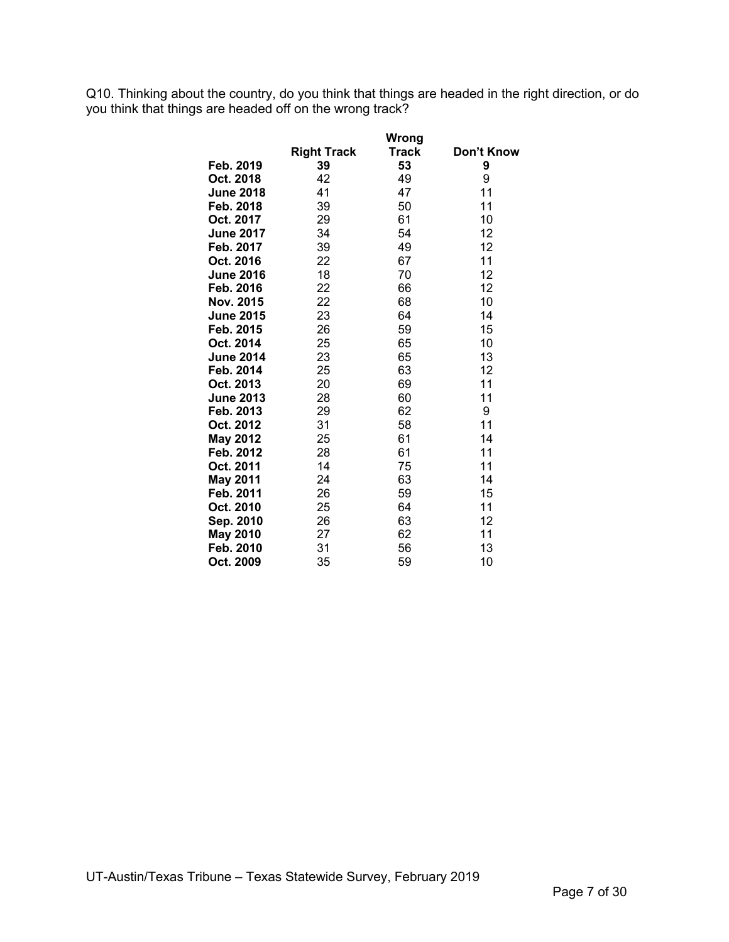Q10. Thinking about the country, do you think that things are headed in the right direction, or do you think that things are headed off on the wrong track?

|                  |                    | <b>Wrong</b> |            |
|------------------|--------------------|--------------|------------|
|                  | <b>Right Track</b> | Track        | Don't Know |
| Feb. 2019        | 39                 | 53           | 9          |
| Oct. 2018        | 42                 | 49           | 9          |
| <b>June 2018</b> | 41                 | 47           | 11         |
| Feb. 2018        | 39                 | 50           | 11         |
| Oct. 2017        | 29                 | 61           | 10         |
| <b>June 2017</b> | 34                 | 54           | 12         |
| Feb. 2017        | 39                 | 49           | 12         |
| Oct. 2016        | 22                 | 67           | 11         |
| <b>June 2016</b> | 18                 | 70           | 12         |
| Feb. 2016        | 22                 | 66           | 12         |
| Nov. 2015        | 22                 | 68           | 10         |
| <b>June 2015</b> | 23                 | 64           | 14         |
| Feb. 2015        | 26                 | 59           | 15         |
| Oct. 2014        | 25                 | 65           | 10         |
| <b>June 2014</b> | 23                 | 65           | 13         |
| Feb. 2014        | 25                 | 63           | 12         |
| Oct. 2013        | 20                 | 69           | 11         |
| <b>June 2013</b> | 28                 | 60           | 11         |
| Feb. 2013        | 29                 | 62           | 9          |
| Oct. 2012        | 31                 | 58           | 11         |
| <b>May 2012</b>  | 25                 | 61           | 14         |
| Feb. 2012        | 28                 | 61           | 11         |
| Oct. 2011        | 14                 | 75           | 11         |
| <b>May 2011</b>  | 24                 | 63           | 14         |
| Feb. 2011        | 26                 | 59           | 15         |
| Oct. 2010        | 25                 | 64           | 11         |
| Sep. 2010        | 26                 | 63           | 12         |
| <b>May 2010</b>  | 27                 | 62           | 11         |
| Feb. 2010        | 31                 | 56           | 13         |
| Oct. 2009        | 35                 | 59           | 10         |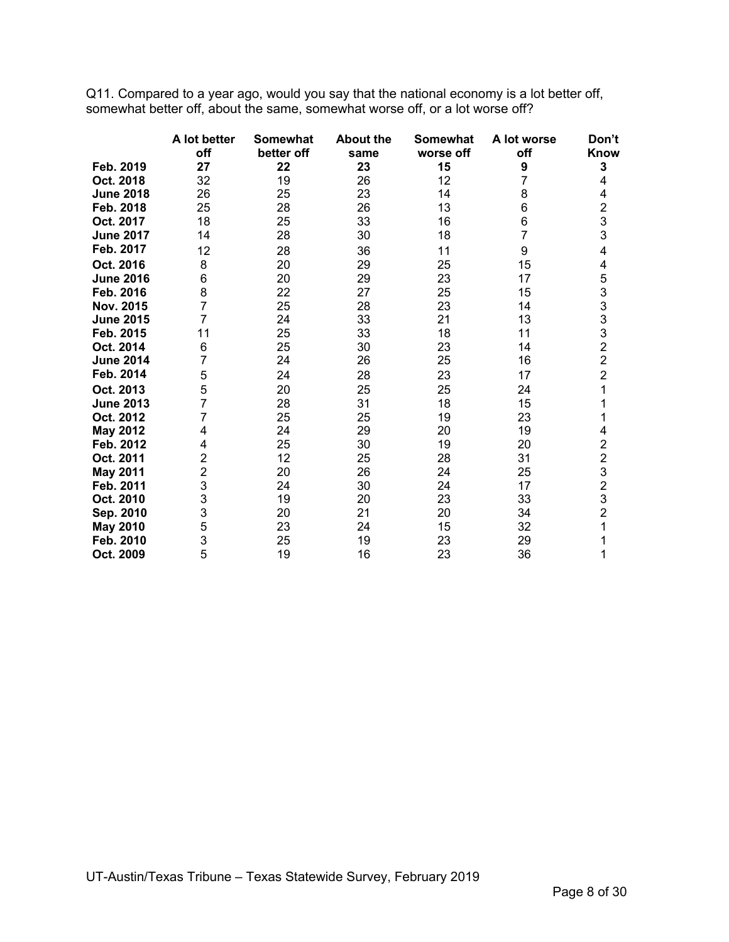Q11. Compared to a year ago, would you say that the national economy is a lot better off, somewhat better off, about the same, somewhat worse off, or a lot worse off?

|                  | A lot better<br>off | Somewhat<br>better off | <b>About the</b><br>same | <b>Somewhat</b><br>worse off | A lot worse<br>off | Don't<br>Know                              |
|------------------|---------------------|------------------------|--------------------------|------------------------------|--------------------|--------------------------------------------|
| Feb. 2019        | 27                  | 22                     | 23                       | 15                           | 9                  | 3                                          |
| Oct. 2018        | 32                  | 19                     | 26                       | 12                           | 7                  | 4                                          |
| <b>June 2018</b> | 26                  | 25                     | 23                       | 14                           | 8                  | 4                                          |
| Feb. 2018        | 25                  | 28                     | 26                       | 13                           | 6                  | $\frac{2}{3}$                              |
| Oct. 2017        | 18                  | 25                     | 33                       | 16                           | 6                  |                                            |
| <b>June 2017</b> | 14                  | 28                     | 30                       | 18                           | $\overline{7}$     | 3                                          |
| Feb. 2017        | 12                  | 28                     | 36                       | 11                           | 9                  | 4                                          |
| Oct. 2016        | 8                   | 20                     | 29                       | 25                           | 15                 | 4                                          |
| <b>June 2016</b> | 6                   | 20                     | 29                       | 23                           | 17                 | 5                                          |
| Feb. 2016        | 8                   | 22                     | 27                       | 25                           | 15                 | $\begin{array}{c} 3 \\ 3 \\ 3 \end{array}$ |
| Nov. 2015        | $\overline{7}$      | 25                     | 28                       | 23                           | 14                 |                                            |
| <b>June 2015</b> | $\overline{7}$      | 24                     | 33                       | 21                           | 13                 |                                            |
| Feb. 2015        | 11                  | 25                     | 33                       | 18                           | 11                 |                                            |
| Oct. 2014        | 6                   | 25                     | 30                       | 23                           | 14                 | $\begin{array}{c} 3 \\ 2 \\ 2 \end{array}$ |
| <b>June 2014</b> | 7                   | 24                     | 26                       | 25                           | 16                 |                                            |
| Feb. 2014        | 5                   | 24                     | 28                       | 23                           | 17                 | $\overline{2}$                             |
| Oct. 2013        | 5                   | 20                     | 25                       | 25                           | 24                 | 1                                          |
| <b>June 2013</b> | $\overline{7}$      | 28                     | 31                       | 18                           | 15                 | 1                                          |
| Oct. 2012        | 7                   | 25                     | 25                       | 19                           | 23                 | 1                                          |
| <b>May 2012</b>  | 4                   | 24                     | 29                       | 20                           | 19                 | 4                                          |
| Feb. 2012        | 4                   | 25                     | 30                       | 19                           | 20                 | $\overline{c}$                             |
| Oct. 2011        | $\overline{2}$      | 12                     | 25                       | 28                           | 31                 | $\overline{c}$                             |
| <b>May 2011</b>  | $\overline{c}$      | 20                     | 26                       | 24                           | 25                 | $\frac{3}{2}$                              |
| Feb. 2011        | 3                   | 24                     | 30                       | 24                           | 17                 |                                            |
| Oct. 2010        | 3                   | 19                     | 20                       | 23                           | 33                 | 3                                          |
| Sep. 2010        | 3                   | 20                     | 21                       | 20                           | 34                 | $\overline{2}$                             |
| <b>May 2010</b>  | 5                   | 23                     | 24                       | 15                           | 32                 | 1                                          |
| Feb. 2010        | 3                   | 25                     | 19                       | 23                           | 29                 | 1                                          |
| Oct. 2009        | 5                   | 19                     | 16                       | 23                           | 36                 | 1                                          |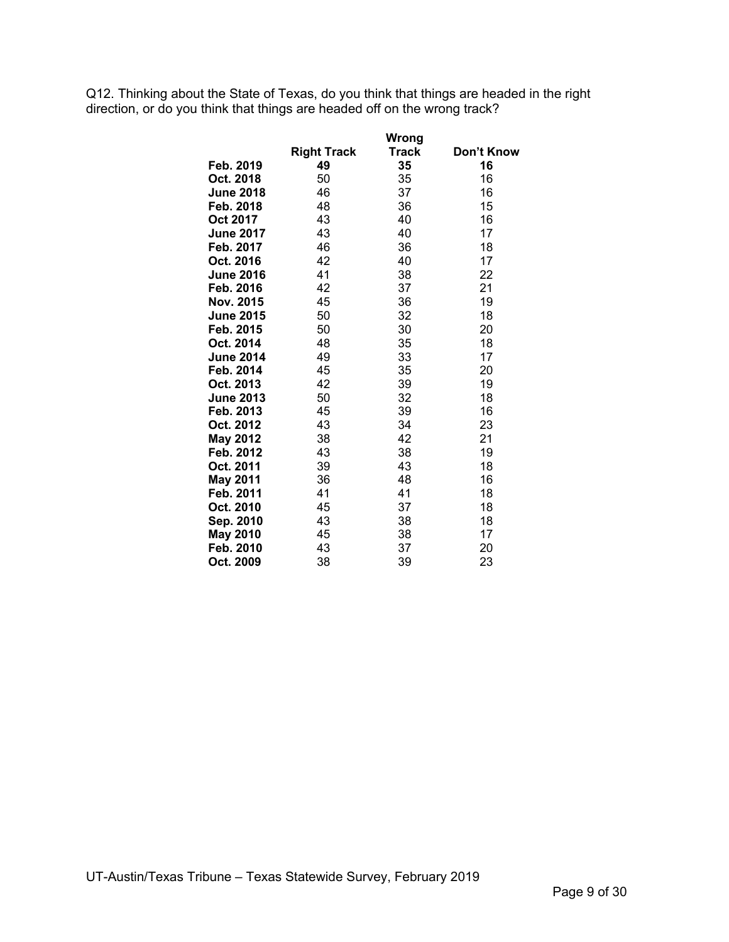Q12. Thinking about the State of Texas, do you think that things are headed in the right direction, or do you think that things are headed off on the wrong track?

|                  |                    | Wrong |            |
|------------------|--------------------|-------|------------|
|                  | <b>Right Track</b> | Track | Don't Know |
| Feb. 2019        | 49                 | 35    | 16         |
| Oct. 2018        | 50                 | 35    | 16         |
| <b>June 2018</b> | 46                 | 37    | 16         |
| Feb. 2018        | 48                 | 36    | 15         |
| Oct 2017         | 43                 | 40    | 16         |
| <b>June 2017</b> | 43                 | 40    | 17         |
| Feb. 2017        | 46                 | 36    | 18         |
| Oct. 2016        | 42                 | 40    | 17         |
| <b>June 2016</b> | 41                 | 38    | 22         |
| Feb. 2016        | 42                 | 37    | 21         |
| Nov. 2015        | 45                 | 36    | 19         |
| <b>June 2015</b> | 50                 | 32    | 18         |
| Feb. 2015        | 50                 | 30    | 20         |
| Oct. 2014        | 48                 | 35    | 18         |
| <b>June 2014</b> | 49                 | 33    | 17         |
| Feb. 2014        | 45                 | 35    | 20         |
| Oct. 2013        | 42                 | 39    | 19         |
| <b>June 2013</b> | 50                 | 32    | 18         |
| Feb. 2013        | 45                 | 39    | 16         |
| Oct. 2012        | 43                 | 34    | 23         |
| <b>May 2012</b>  | 38                 | 42    | 21         |
| Feb. 2012        | 43                 | 38    | 19         |
| Oct. 2011        | 39                 | 43    | 18         |
| <b>May 2011</b>  | 36                 | 48    | 16         |
| Feb. 2011        | 41                 | 41    | 18         |
| Oct. 2010        | 45                 | 37    | 18         |
| Sep. 2010        | 43                 | 38    | 18         |
| <b>May 2010</b>  | 45                 | 38    | 17         |
| Feb. 2010        | 43                 | 37    | 20         |
| Oct. 2009        | 38                 | 39    | 23         |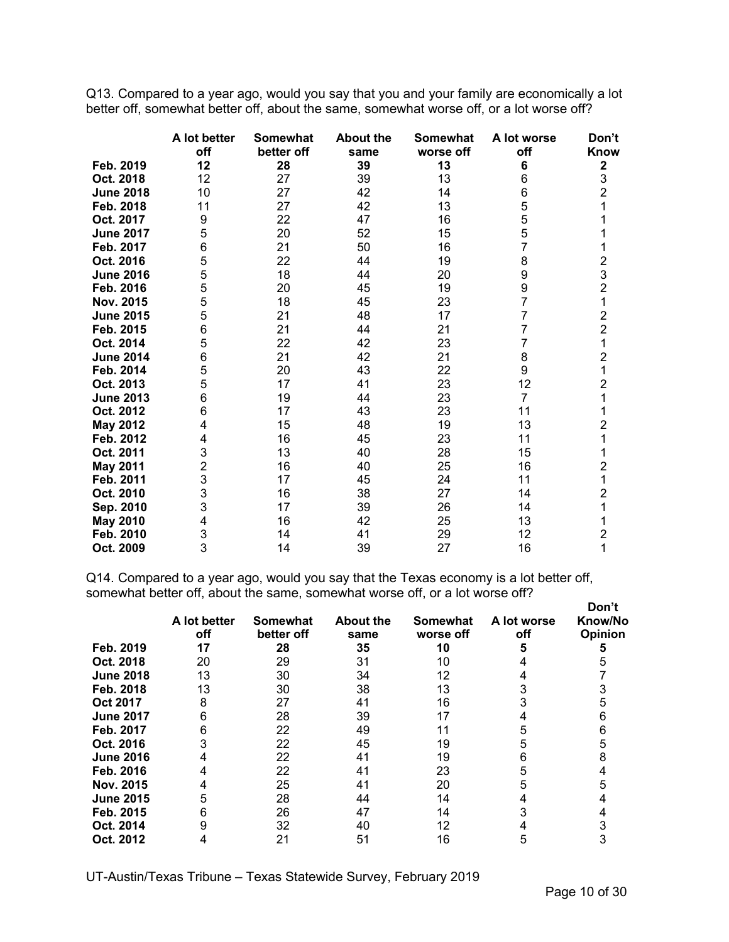Q13. Compared to a year ago, would you say that you and your family are economically a lot better off, somewhat better off, about the same, somewhat worse off, or a lot worse off?

|                  | A lot better<br>off | <b>Somewhat</b><br>better off | <b>About the</b><br>same | <b>Somewhat</b><br>worse off | A lot worse<br>off | Don't<br>Know                              |
|------------------|---------------------|-------------------------------|--------------------------|------------------------------|--------------------|--------------------------------------------|
| Feb. 2019        | 12                  | 28                            | 39                       | 13                           | 6                  | 2                                          |
| Oct. 2018        | 12                  | 27                            | 39                       | 13                           | 6                  | 3                                          |
| <b>June 2018</b> | 10                  | 27                            | 42                       | 14                           | 6                  | $\overline{2}$                             |
| Feb. 2018        | 11                  | 27                            | 42                       | 13                           | 5                  | 1                                          |
| Oct. 2017        | 9                   | 22                            | 47                       | 16                           | 5                  |                                            |
| <b>June 2017</b> | 5                   | 20                            | 52                       | 15                           | 5                  | 1                                          |
| Feb. 2017        | 6                   | 21                            | 50                       | 16                           | $\overline{7}$     | 1                                          |
| Oct. 2016        | 5                   | 22                            | 44                       | 19                           | 8                  |                                            |
| <b>June 2016</b> | 5                   | 18                            | 44                       | 20                           | 9                  | $\begin{array}{c} 2 \\ 3 \\ 2 \end{array}$ |
| Feb. 2016        | 5                   | 20                            | 45                       | 19                           | 9                  |                                            |
| Nov. 2015        | 5                   | 18                            | 45                       | 23                           | $\overline{7}$     | 1                                          |
| <b>June 2015</b> | 5                   | 21                            | 48                       | 17                           | $\overline{7}$     | $\frac{2}{2}$                              |
| Feb. 2015        | 6                   | 21                            | 44                       | 21                           | $\overline{7}$     |                                            |
| Oct. 2014        | $\mathbf 5$         | 22                            | 42                       | 23                           | 7                  | $\overline{\mathbf{1}}$                    |
| <b>June 2014</b> | 6                   | 21                            | 42                       | 21                           | 8                  | $\frac{2}{1}$                              |
| Feb. 2014        | 5                   | 20                            | 43                       | 22                           | 9                  |                                            |
| Oct. 2013        | 5                   | 17                            | 41                       | 23                           | 12                 | $\overline{2}$                             |
| <b>June 2013</b> | 6                   | 19                            | 44                       | 23                           | $\overline{7}$     | 1                                          |
| Oct. 2012        | 6                   | 17                            | 43                       | 23                           | 11                 | 1                                          |
| <b>May 2012</b>  | 4                   | 15                            | 48                       | 19                           | 13                 | $\overline{c}$                             |
| Feb. 2012        | 4                   | 16                            | 45                       | 23                           | 11                 | 1                                          |
| Oct. 2011        | 3                   | 13                            | 40                       | 28                           | 15                 | 1                                          |
| <b>May 2011</b>  | $\overline{2}$      | 16                            | 40                       | 25                           | 16                 | $\overline{c}$                             |
| Feb. 2011        | 3                   | 17                            | 45                       | 24                           | 11                 | 1                                          |
| Oct. 2010        | 3                   | 16                            | 38                       | 27                           | 14                 | $\overline{c}$                             |
| Sep. 2010        | 3                   | 17                            | 39                       | 26                           | 14                 | 1                                          |
| <b>May 2010</b>  | 4                   | 16                            | 42                       | 25                           | 13                 | 1                                          |
| Feb. 2010        | 3                   | 14                            | 41                       | 29                           | 12                 | $\overline{c}$                             |
| Oct. 2009        | 3                   | 14                            | 39                       | 27                           | 16                 | $\overline{1}$                             |

Q14. Compared to a year ago, would you say that the Texas economy is a lot better off, somewhat better off, about the same, somewhat worse off, or a lot worse off?

|                  | A lot better<br>off | <b>Somewhat</b><br>better off | <b>About the</b><br>same | <b>Somewhat</b><br>worse off | A lot worse<br>off | Don't<br>Know/No<br><b>Opinion</b> |
|------------------|---------------------|-------------------------------|--------------------------|------------------------------|--------------------|------------------------------------|
| Feb. 2019        | 17                  | 28                            | 35                       | 10                           |                    |                                    |
| Oct. 2018        | 20                  | 29                            | 31                       | 10                           |                    |                                    |
| <b>June 2018</b> | 13                  | 30                            | 34                       | 12                           |                    |                                    |
| Feb. 2018        | 13                  | 30                            | 38                       | 13                           |                    |                                    |
| <b>Oct 2017</b>  |                     | 27                            | 41                       | 16                           |                    |                                    |
| <b>June 2017</b> | ิค                  | 28                            | 39                       | 17                           |                    |                                    |
| Feb. 2017        | 6                   | 22                            | 49                       |                              |                    |                                    |
| Oct. 2016        |                     | 22                            | 45                       | 19                           |                    |                                    |
| <b>June 2016</b> |                     | 22                            | 41                       | 19                           | 6                  |                                    |
| Feb. 2016        |                     | 22                            | 41                       | 23                           | 5                  |                                    |
| Nov. 2015        |                     | 25                            | 41                       | 20                           | 5                  |                                    |
| <b>June 2015</b> | 5                   | 28                            | 44                       | 14                           |                    |                                    |
| Feb. 2015        |                     | 26                            | 47                       | 14                           |                    |                                    |
| Oct. 2014        |                     | 32                            | 40                       | 12                           |                    |                                    |
| Oct. 2012        |                     | 21                            | 51                       | 16                           |                    |                                    |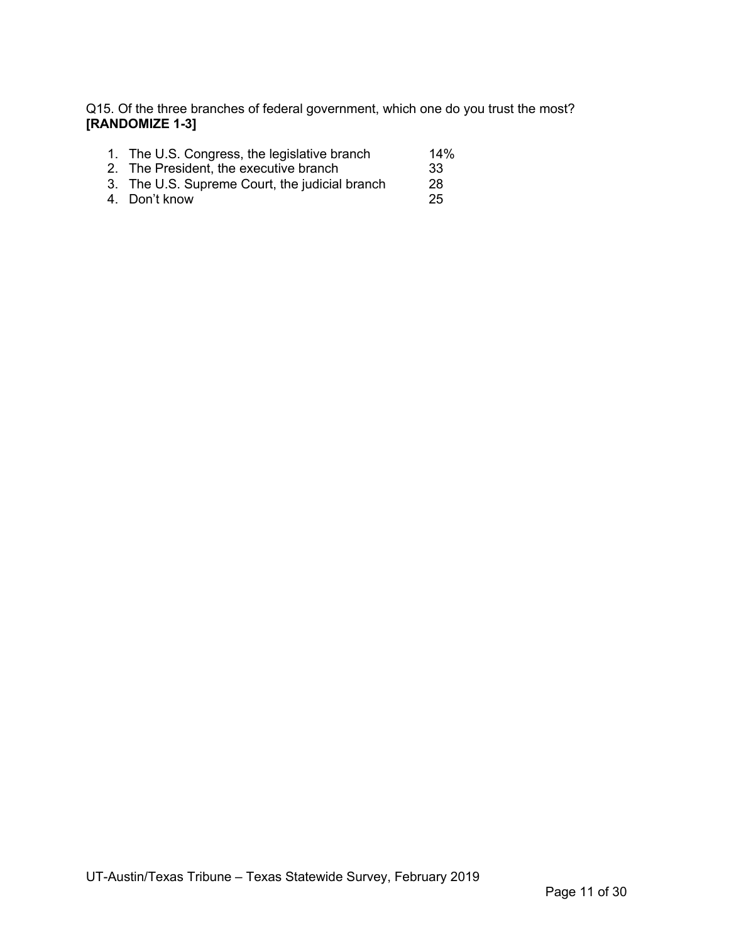Q15. Of the three branches of federal government, which one do you trust the most? **[RANDOMIZE 1-3]**

|  | 1. The U.S. Congress, the legislative branch | 14% |
|--|----------------------------------------------|-----|
|  |                                              |     |

- 2. The President, the executive branch 33
- 3. The U.S. Supreme Court, the judicial branch 28
- 4. Don't know 25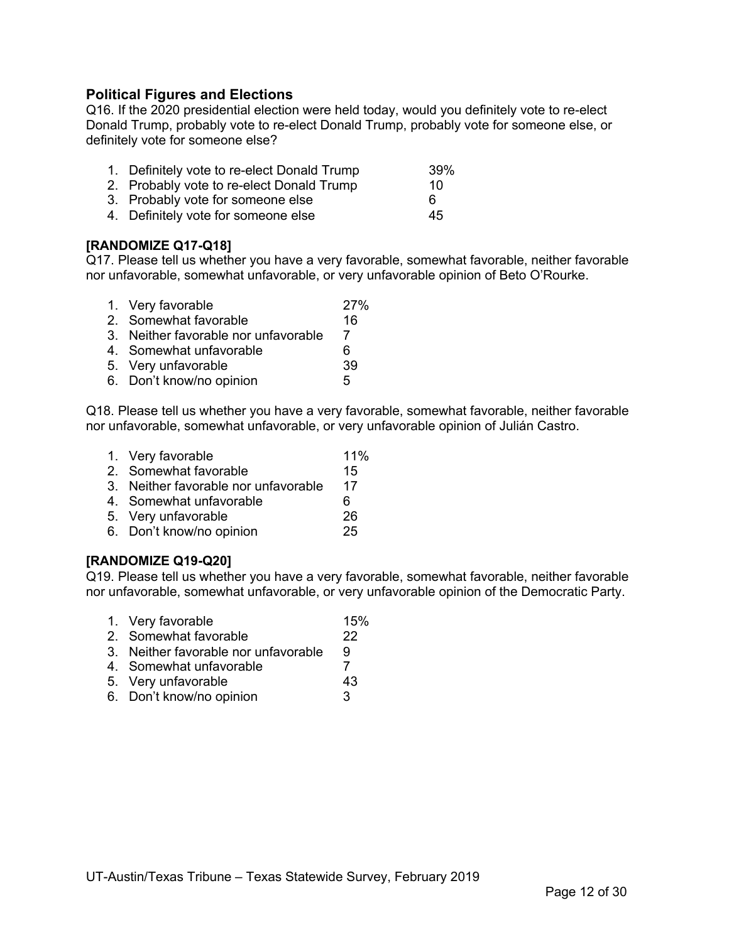## **Political Figures and Elections**

Q16. If the 2020 presidential election were held today, would you definitely vote to re-elect Donald Trump, probably vote to re-elect Donald Trump, probably vote for someone else, or definitely vote for someone else?

| 1. Definitely vote to re-elect Donald Trump | 39% |
|---------------------------------------------|-----|
| 2. Probably vote to re-elect Donald Trump   | 10. |

- 3. Probably vote for someone else 6
- 4. Definitely vote for someone else 45

## **[RANDOMIZE Q17-Q18]**

Q17. Please tell us whether you have a very favorable, somewhat favorable, neither favorable nor unfavorable, somewhat unfavorable, or very unfavorable opinion of Beto O'Rourke.

| 1. Very favorable                    | 27% |
|--------------------------------------|-----|
| 2. Somewhat favorable                | 16  |
| 3. Neither favorable nor unfavorable |     |
| 4. Somewhat unfavorable              | 6   |
| 5. Very unfavorable                  | 39  |
| 6. Don't know/no opinion             | 5   |
|                                      |     |

Q18. Please tell us whether you have a very favorable, somewhat favorable, neither favorable nor unfavorable, somewhat unfavorable, or very unfavorable opinion of Julián Castro.

- 1. Very favorable 11%
- 2. Somewhat favorable 15
- 3. Neither favorable nor unfavorable 17
- 4. Somewhat unfavorable 6
- 5. Very unfavorable 26
- 6. Don't know/no opinion 25

#### **[RANDOMIZE Q19-Q20]**

Q19. Please tell us whether you have a very favorable, somewhat favorable, neither favorable nor unfavorable, somewhat unfavorable, or very unfavorable opinion of the Democratic Party.

- 1. Very favorable 15%
- 2. Somewhat favorable 22
- 3. Neither favorable nor unfavorable 9
- 4. Somewhat unfavorable 7
- 5. Very unfavorable 43
- 6. Don't know/no opinion 3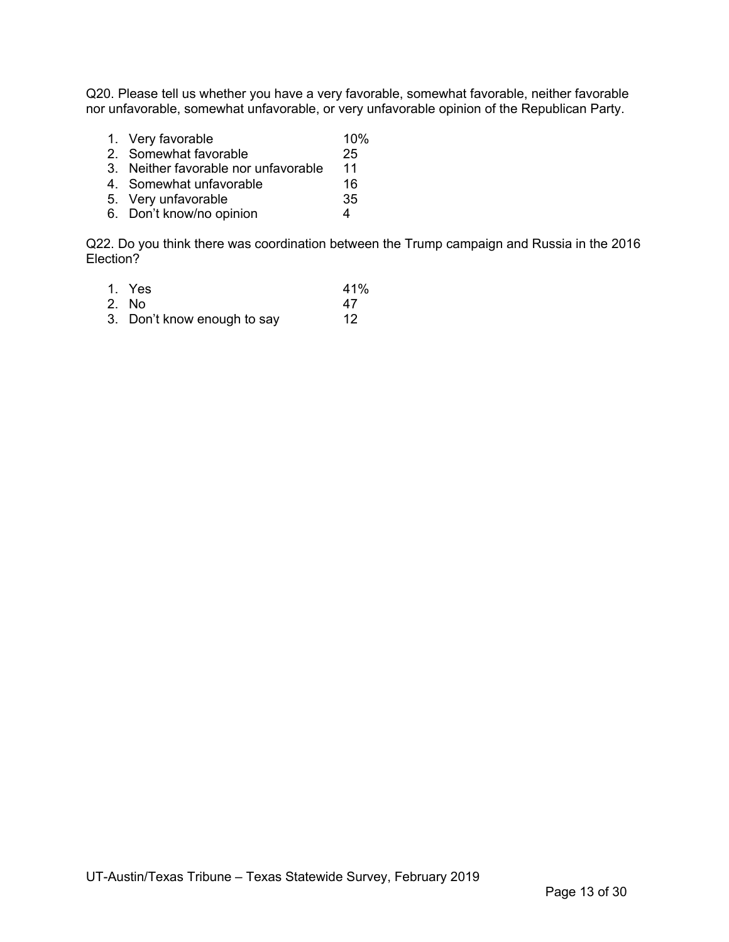Q20. Please tell us whether you have a very favorable, somewhat favorable, neither favorable nor unfavorable, somewhat unfavorable, or very unfavorable opinion of the Republican Party.

- 1. Very favorable 10%
- 2. Somewhat favorable 25<br>3. Neither favorable nor unfavorable 11
- 3. Neither favorable nor unfavorable 11<br>4. Somewhat unfavorable 16
- 4. Somewhat unfavorable 16<br>5. Very unfavorable 15
- 5. Very unfavorable
- 6. Don't know/no opinion 4

Q22. Do you think there was coordination between the Trump campaign and Russia in the 2016 Election?

1. Yes 41%<br>2. No 47 2. No 47<br>3. Don't know enough to say 42 3. Don't know enough to say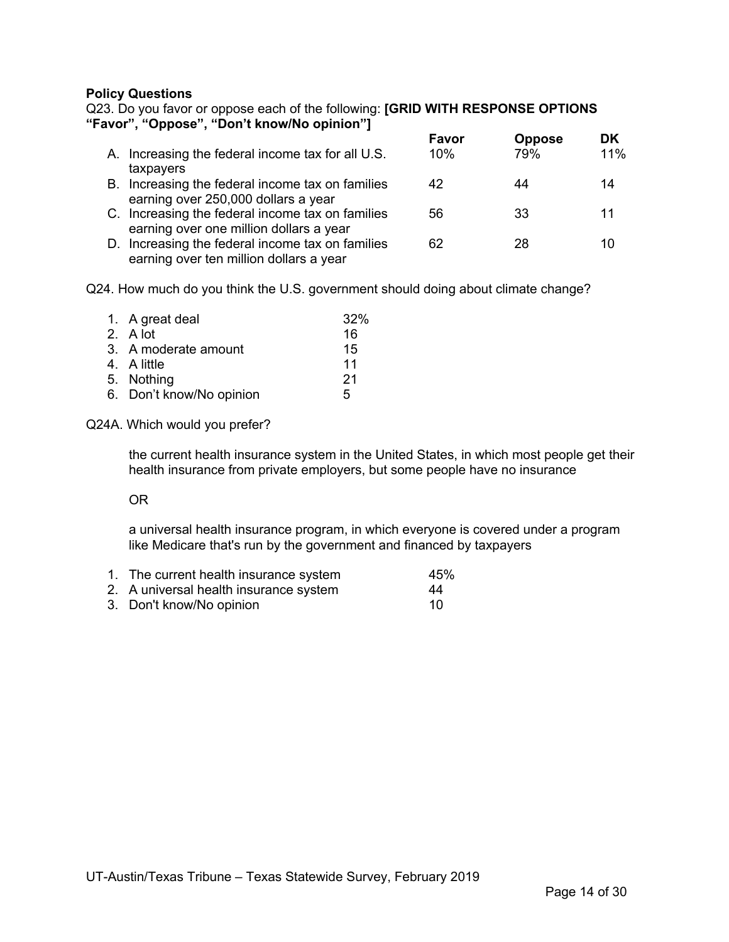#### **Policy Questions**

Q23. Do you favor or oppose each of the following: **[GRID WITH RESPONSE OPTIONS "Favor", "Oppose", "Don't know/No opinion"]**

|                                                                                             | Favor  | <b>Oppose</b> | DK  |
|---------------------------------------------------------------------------------------------|--------|---------------|-----|
| A. Increasing the federal income tax for all U.S.                                           | $10\%$ | 79%           | 11% |
| taxpayers                                                                                   |        |               |     |
| B. Increasing the federal income tax on families<br>earning over 250,000 dollars a year     | 42     | 44            | 14  |
| C. Increasing the federal income tax on families<br>earning over one million dollars a year | 56     | 33            | 11  |
| D. Increasing the federal income tax on families<br>earning over ten million dollars a year | 62     | 28            | 10  |

Q24. How much do you think the U.S. government should doing about climate change?

| 1. A great deal          | 32% |
|--------------------------|-----|
| 2. A lot                 | 16  |
| 3. A moderate amount     | 15  |
| 4. A little              | 11  |
| 5. Nothing               | 21  |
| 6. Don't know/No opinion | 5   |

#### Q24A. Which would you prefer?

the current health insurance system in the United States, in which most people get their health insurance from private employers, but some people have no insurance

#### OR

a universal health insurance program, in which everyone is covered under a program like Medicare that's run by the government and financed by taxpayers

| 1. The current health insurance system | 45% |
|----------------------------------------|-----|
| 2. A universal health insurance system | 44  |

3. Don't know/No opinion 10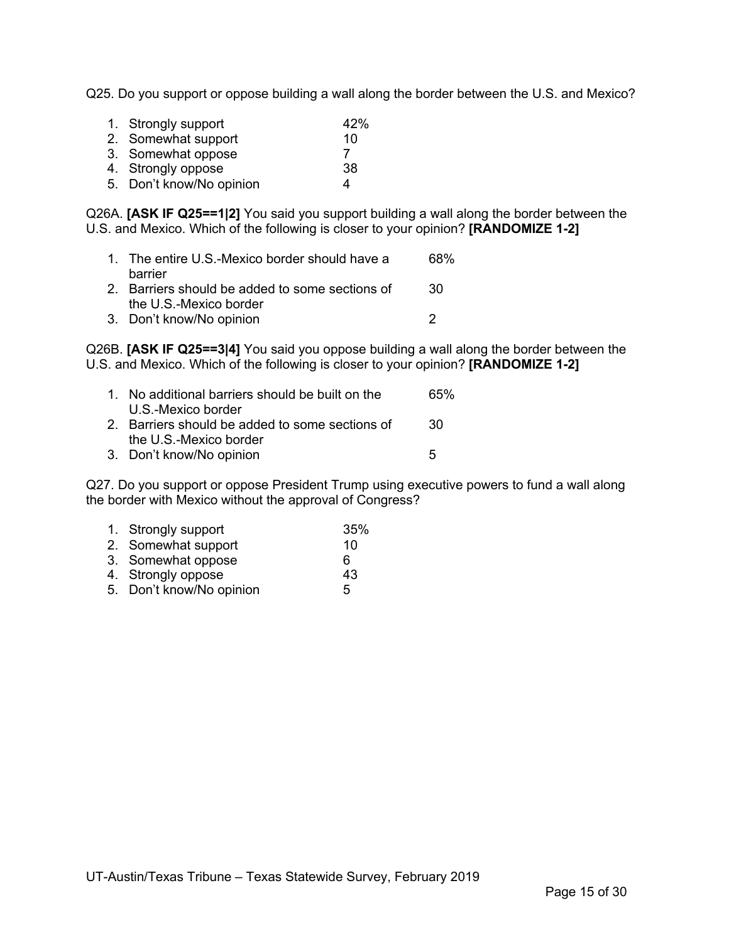Q25. Do you support or oppose building a wall along the border between the U.S. and Mexico?

| 1. Strongly support      | 42% |
|--------------------------|-----|
| 2. Somewhat support      | 10  |
| 3. Somewhat oppose       |     |
| 4. Strongly oppose       | 38  |
| 5. Don't know/No opinion | Δ.  |

Q26A. **[ASK IF Q25==1|2]** You said you support building a wall along the border between the U.S. and Mexico. Which of the following is closer to your opinion? **[RANDOMIZE 1-2]**

| 1. The entire U.S.-Mexico border should have a<br>barrier | 68% |
|-----------------------------------------------------------|-----|
| 2. Barriers should be added to some sections of           | 30. |
| the U.S.-Mexico border<br>3. Don't know/No opinion        |     |

Q26B. **[ASK IF Q25==3|4]** You said you oppose building a wall along the border between the U.S. and Mexico. Which of the following is closer to your opinion? **[RANDOMIZE 1-2]**

| 1. No additional barriers should be built on the<br>U.S.-Mexico border | 65% |
|------------------------------------------------------------------------|-----|
| 2. Barriers should be added to some sections of                        | -30 |
| the U.S.-Mexico border<br>3. Don't know/No opinion                     | 5   |

Q27. Do you support or oppose President Trump using executive powers to fund a wall along the border with Mexico without the approval of Congress?

| 1. Strongly support      | 35% |
|--------------------------|-----|
| 2. Somewhat support      | 10  |
| 3. Somewhat oppose       | 6   |
| 4. Strongly oppose       | 43  |
| 5. Don't know/No opinion | 5   |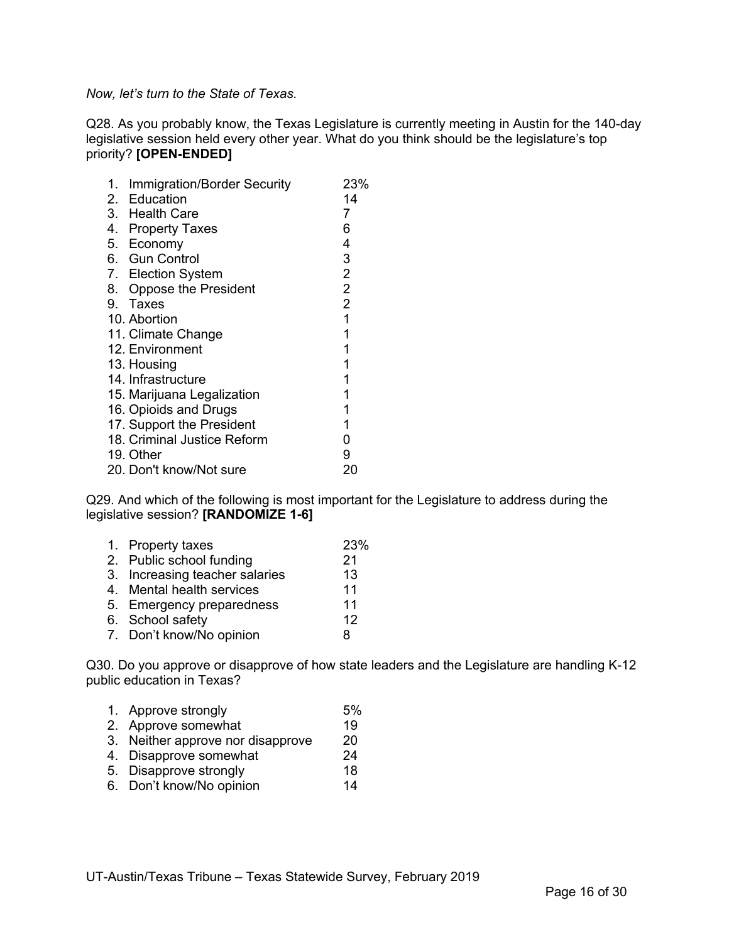*Now, let's turn to the State of Texas.*

Q28. As you probably know, the Texas Legislature is currently meeting in Austin for the 140-day legislative session held every other year. What do you think should be the legislature's top priority? **[OPEN-ENDED]**

| 1. | <b>Immigration/Border Security</b> |                | 23% |
|----|------------------------------------|----------------|-----|
|    | 2. Education                       | 14             |     |
|    | 3. Health Care                     | 7              |     |
|    | 4. Property Taxes                  | 6              |     |
|    | 5. Economy                         | 4              |     |
|    | 6. Gun Control                     | 3              |     |
|    | 7. Election System                 | $\overline{2}$ |     |
|    | 8. Oppose the President            | $\overline{2}$ |     |
|    | 9. Taxes                           | $\overline{2}$ |     |
|    | 10. Abortion                       | 1              |     |
|    | 11. Climate Change                 | 1              |     |
|    | 12. Environment                    | 1              |     |
|    | 13. Housing                        | 1              |     |
|    | 14. Infrastructure                 | 1              |     |
|    | 15. Marijuana Legalization         | 1              |     |
|    | 16. Opioids and Drugs              | 1              |     |
|    | 17. Support the President          | 1              |     |
|    | 18. Criminal Justice Reform        | 0              |     |
|    | 19. Other                          | 9              |     |
|    | 20. Don't know/Not sure            | 20             |     |

Q29. And which of the following is most important for the Legislature to address during the legislative session? **[RANDOMIZE 1-6]**

| 1. Property taxes              | 23% |
|--------------------------------|-----|
| 2. Public school funding       | 21  |
| 3. Increasing teacher salaries | 13  |
| 4. Mental health services      | 11  |
| 5. Emergency preparedness      | 11  |
| 6. School safety               | 12  |
| 7. Don't know/No opinion       | 8   |
|                                |     |

Q30. Do you approve or disapprove of how state leaders and the Legislature are handling K-12 public education in Texas?

- 1. Approve strongly 5%
- 2. Approve somewhat 19<br>3. Neither approve nor disapprove 20
- 3. Neither approve nor disapprove 20<br>4. Disapprove somewhat 24
- 4. Disapprove somewhat
- 5. Disapprove strongly 18
- 6. Don't know/No opinion 14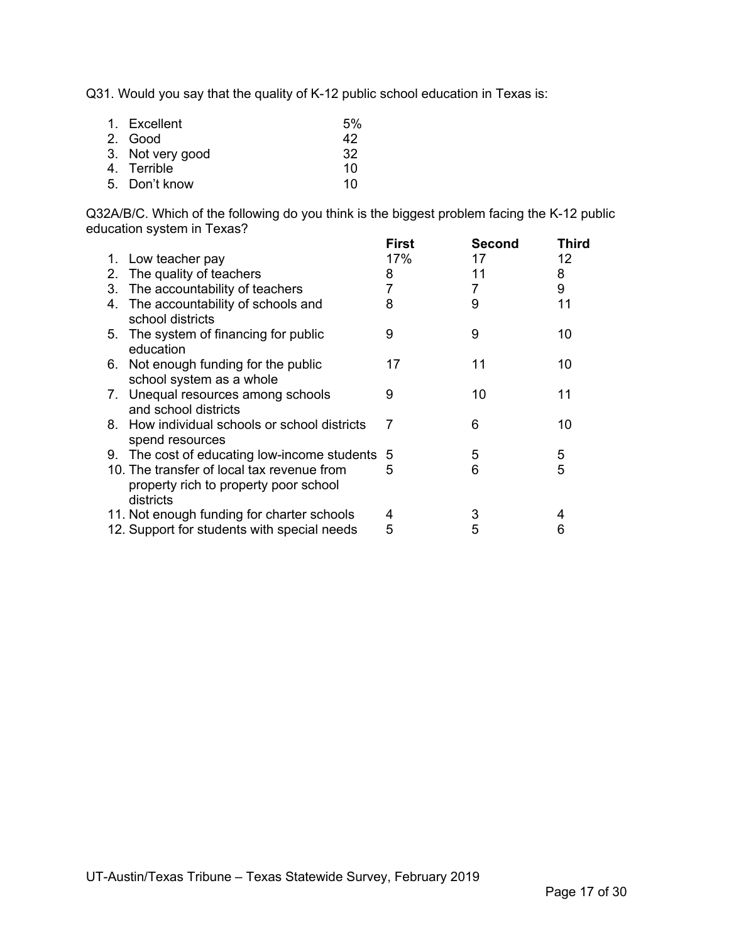Q31. Would you say that the quality of K-12 public school education in Texas is:

| 1. Excellent     | 5% |
|------------------|----|
| 2. Good          | 42 |
| 3. Not very good | 32 |
| 4. Terrible      | 10 |
| 5. Don't know    | 10 |

Q32A/B/C. Which of the following do you think is the biggest problem facing the K-12 public education system in Texas?

|    |                                                                                                  | First | Second | Third |
|----|--------------------------------------------------------------------------------------------------|-------|--------|-------|
|    | 1. Low teacher pay                                                                               | 17%   | 17     | 12    |
|    | 2. The quality of teachers                                                                       | 8     | 11     | 8     |
|    | 3. The accountability of teachers                                                                | 7     | 7      | 9     |
|    | 4. The accountability of schools and<br>school districts                                         | 8     | 9      | 11    |
|    | 5. The system of financing for public<br>education                                               | 9     | 9      | 10    |
| 6. | Not enough funding for the public<br>school system as a whole                                    | 17    | 11     | 10    |
|    | 7. Unequal resources among schools<br>and school districts                                       | 9     | 10     | 11    |
|    | 8. How individual schools or school districts<br>spend resources                                 | 7     | 6      | 10    |
|    | 9. The cost of educating low-income students 5                                                   |       | 5      | 5     |
|    | 10. The transfer of local tax revenue from<br>property rich to property poor school<br>districts | 5     | 6      | 5     |
|    | 11. Not enough funding for charter schools                                                       | 4     | 3      | 4     |
|    | 12. Support for students with special needs                                                      | 5     | 5      | 6     |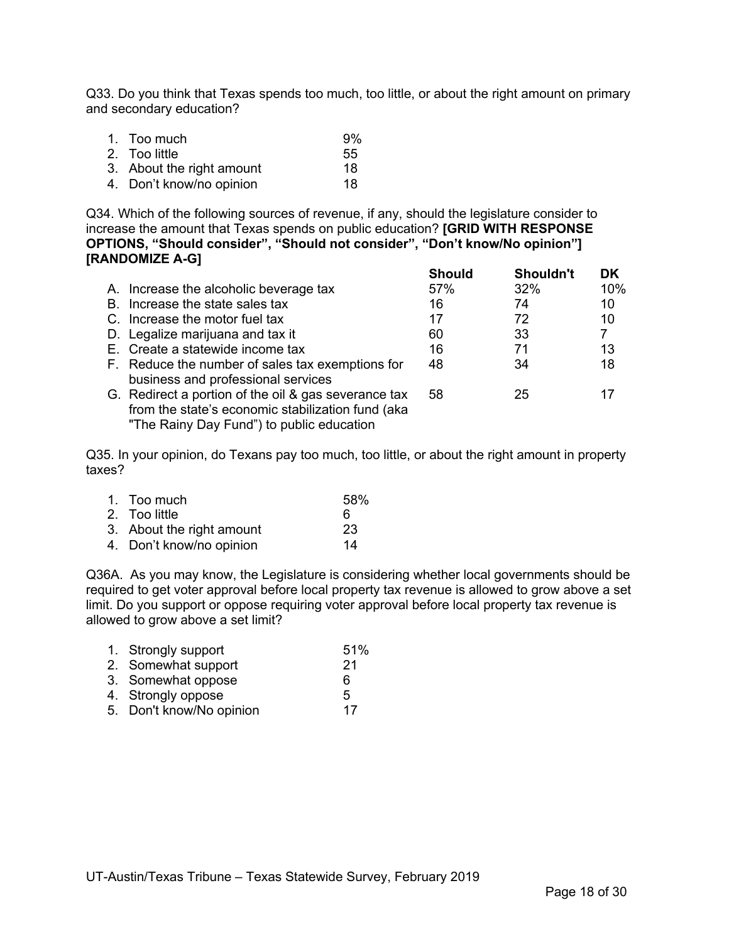Q33. Do you think that Texas spends too much, too little, or about the right amount on primary and secondary education?

| 1. Too much               | 9% |
|---------------------------|----|
| 2. Too little             | 55 |
| 3. About the right amount | 18 |
| 4. Don't know/no opinion  | 18 |

Q34. Which of the following sources of revenue, if any, should the legislature consider to increase the amount that Texas spends on public education? **[GRID WITH RESPONSE OPTIONS, "Should consider", "Should not consider", "Don't know/No opinion"] [RANDOMIZE A-G] Should Shouldn't DK**

|                                                                                                                                                        | Should | Shouldn't | DΚ  |
|--------------------------------------------------------------------------------------------------------------------------------------------------------|--------|-----------|-----|
| A. Increase the alcoholic beverage tax                                                                                                                 | 57%    | 32%       | 10% |
| B. Increase the state sales tax                                                                                                                        | 16     | 74        | 10  |
| C. Increase the motor fuel tax                                                                                                                         | 17     | 72        | 10  |
| D. Legalize marijuana and tax it                                                                                                                       | 60     | 33        | 7   |
| E. Create a statewide income tax                                                                                                                       | 16     | 71        | 13  |
| F. Reduce the number of sales tax exemptions for<br>business and professional services                                                                 | 48     | 34        | 18  |
| G. Redirect a portion of the oil & gas severance tax<br>from the state's economic stabilization fund (aka<br>"The Rainy Day Fund") to public education | 58     | 25        | 17  |

Q35. In your opinion, do Texans pay too much, too little, or about the right amount in property taxes?

| 1. Too much               | 58% |
|---------------------------|-----|
| 2. Too little             | 6   |
| 3. About the right amount | -23 |
| 4. Don't know/no opinion  | 14  |

Q36A. As you may know, the Legislature is considering whether local governments should be required to get voter approval before local property tax revenue is allowed to grow above a set limit. Do you support or oppose requiring voter approval before local property tax revenue is allowed to grow above a set limit?

| 1. Strongly support      | 51% |
|--------------------------|-----|
| 2. Somewhat support      | -21 |
| 3. Somewhat oppose       | 6   |
| 4. Strongly oppose       | 5   |
| 5. Don't know/No opinion | 17  |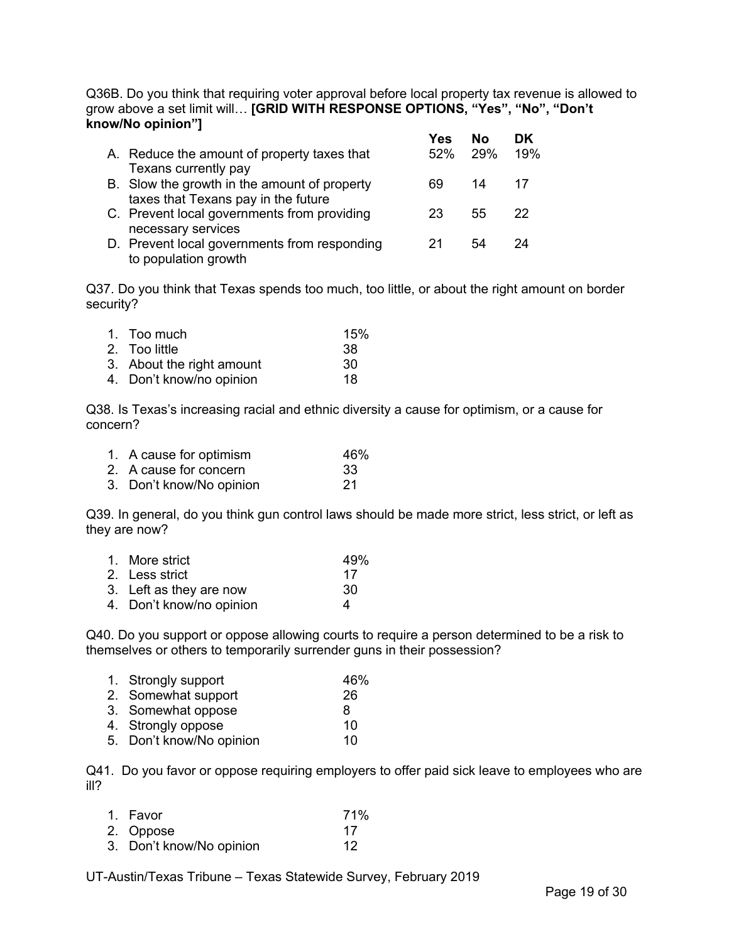Q36B. Do you think that requiring voter approval before local property tax revenue is allowed to grow above a set limit will… **[GRID WITH RESPONSE OPTIONS, "Yes", "No", "Don't know/No opinion"] Yes No DK**

|                                              | Y es | NΩ  | υĸ. |
|----------------------------------------------|------|-----|-----|
| A. Reduce the amount of property taxes that  | 52%  | 29% | 19% |
| Texans currently pay                         |      |     |     |
| B. Slow the growth in the amount of property | 69   | 14  | 17  |
| taxes that Texans pay in the future          |      |     |     |
| C. Prevent local governments from providing  | 23   | 55  | 22  |
| necessary services                           |      |     |     |
| D. Prevent local governments from responding |      | 54  | 24  |
| to population growth                         |      |     |     |

Q37. Do you think that Texas spends too much, too little, or about the right amount on border security?

| 1. Too much               | 15% |
|---------------------------|-----|
| 2. Too little             | 38. |
| 3. About the right amount | 30  |
| 4. Don't know/no opinion  | 18  |

Q38. Is Texas's increasing racial and ethnic diversity a cause for optimism, or a cause for concern?

| 1. A cause for optimism  | 46% |
|--------------------------|-----|
| 2. A cause for concern   | -33 |
| 3. Don't know/No opinion | -21 |

Q39. In general, do you think gun control laws should be made more strict, less strict, or left as they are now?

| 1. More strict          | 49% |
|-------------------------|-----|
| 2. Less strict          | 17  |
| 3. Left as they are now | 30  |

4. Don't know/no opinion 4

Q40. Do you support or oppose allowing courts to require a person determined to be a risk to themselves or others to temporarily surrender guns in their possession?

| 1. Strongly support      | 46% |
|--------------------------|-----|
| 2. Somewhat support      | 26  |
| 3. Somewhat oppose       | 8   |
| 4. Strongly oppose       | 10  |
| 5. Don't know/No opinion | 10  |

Q41. Do you favor or oppose requiring employers to offer paid sick leave to employees who are ill?

| 1. Favor                 | 71% |
|--------------------------|-----|
| 2. Oppose                | -17 |
| 3. Don't know/No opinion | 12  |

UT-Austin/Texas Tribune – Texas Statewide Survey, February 2019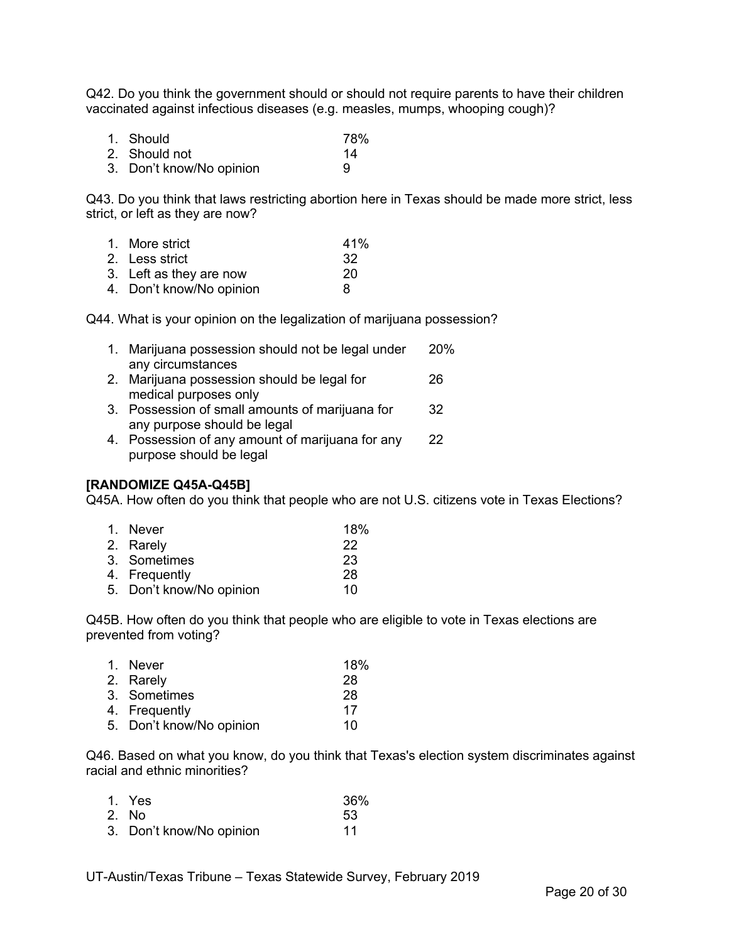Q42. Do you think the government should or should not require parents to have their children vaccinated against infectious diseases (e.g. measles, mumps, whooping cough)?

| 1. Should                | 78% |
|--------------------------|-----|
| 2. Should not            | 14  |
| 3. Don't know/No opinion | 9   |

Q43. Do you think that laws restricting abortion here in Texas should be made more strict, less strict, or left as they are now?

| 1. More strict           | 41% |
|--------------------------|-----|
| 2. Less strict           | -32 |
| 3. Left as they are now  | -20 |
| 4. Don't know/No opinion | 8   |

Q44. What is your opinion on the legalization of marijuana possession?

| 1. Marijuana possession should not be legal under | 20% |
|---------------------------------------------------|-----|
| any circumstances                                 |     |
| 2. Marijuana possession should be legal for       | 26  |

- medical purposes only 3. Possession of small amounts of marijuana for 32 any purpose should be legal
- 4. Possession of any amount of marijuana for any 22 purpose should be legal

### **[RANDOMIZE Q45A-Q45B]**

Q45A. How often do you think that people who are not U.S. citizens vote in Texas Elections?

| 1. Never                 | 18% |
|--------------------------|-----|
| 2. Rarely                | 22  |
| 3. Sometimes             | 23  |
| 4. Frequently            | -28 |
| 5. Don't know/No opinion | 10  |

Q45B. How often do you think that people who are eligible to vote in Texas elections are prevented from voting?

| 1. Never                 | 18% |
|--------------------------|-----|
| 2. Rarely                | 28  |
| 3. Sometimes             | 28  |
| 4. Frequently            | 17  |
| 5. Don't know/No opinion | 10  |
|                          |     |

Q46. Based on what you know, do you think that Texas's election system discriminates against racial and ethnic minorities?

| 1. Yes                   | 36% |
|--------------------------|-----|
| 2. No.                   | 53  |
| 3. Don't know/No opinion | 11  |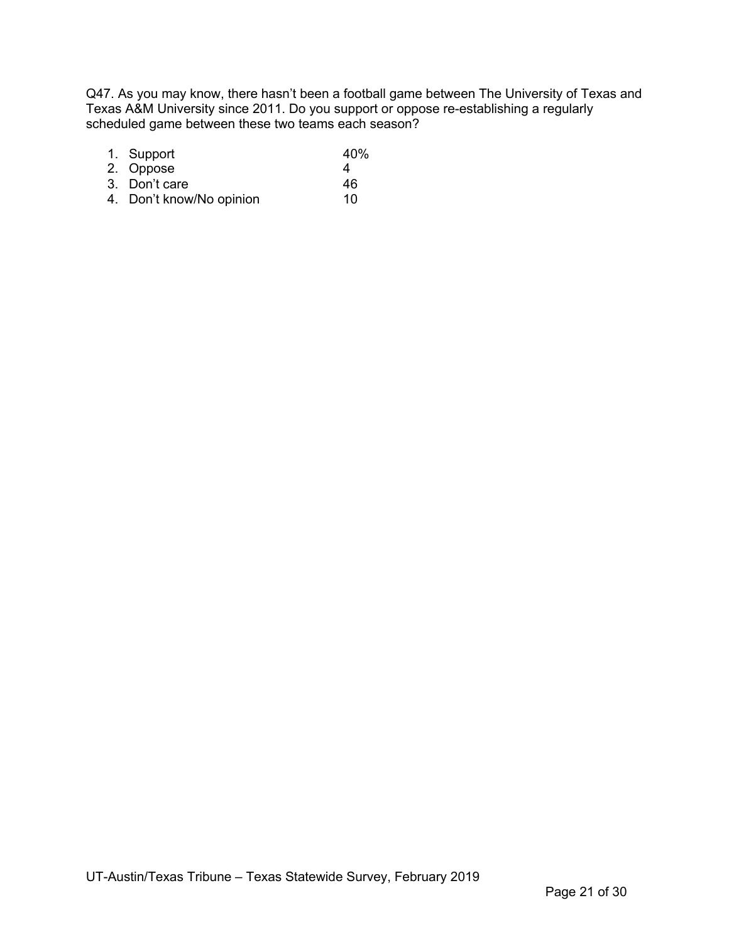Q47. As you may know, there hasn't been a football game between The University of Texas and Texas A&M University since 2011. Do you support or oppose re-establishing a regularly scheduled game between these two teams each season?

| 1. Support               | 40% |
|--------------------------|-----|
| 2. Oppose                | Δ.  |
| 3. Don't care            | 46  |
| 4. Don't know/No opinion | 10  |

UT-Austin/Texas Tribune – Texas Statewide Survey, February 2019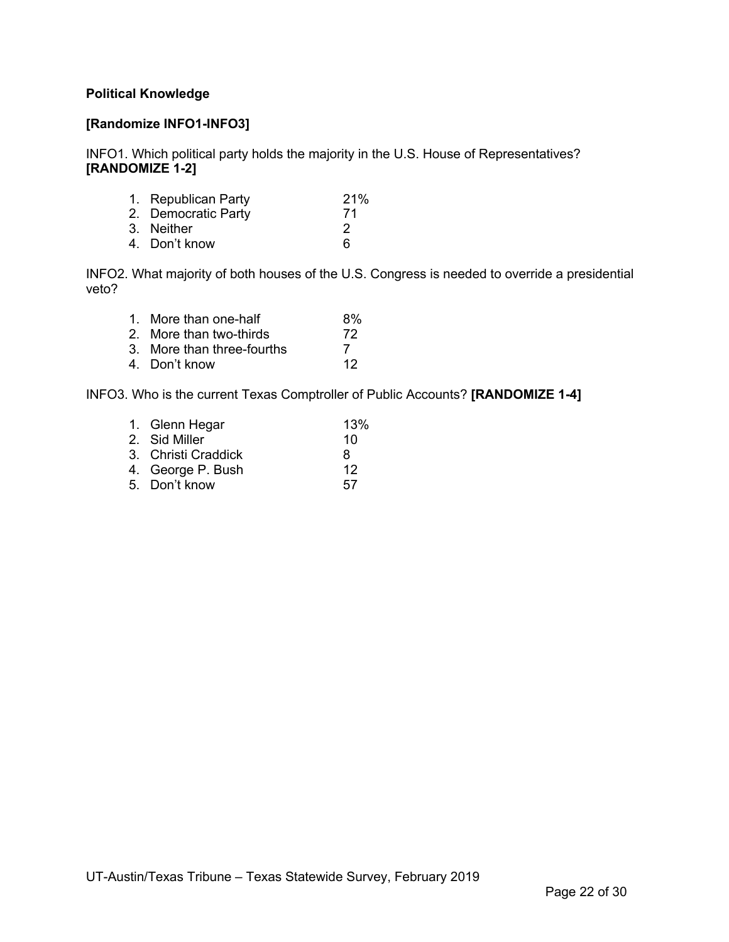#### **Political Knowledge**

#### **[Randomize INFO1-INFO3]**

INFO1. Which political party holds the majority in the U.S. House of Representatives? **[RANDOMIZE 1-2]**

| 1. Republican Party | 21% |
|---------------------|-----|
| 2. Democratic Party | 71  |
| 3. Neither          | 2   |
| 4. Don't know       | 6   |
|                     |     |

INFO2. What majority of both houses of the U.S. Congress is needed to override a presidential veto?

| 1. More than one-half      | 8% |
|----------------------------|----|
| 2. More than two-thirds    | 72 |
| 3. More than three-fourths |    |
| 4. Don't know              | 12 |

INFO3. Who is the current Texas Comptroller of Public Accounts? **[RANDOMIZE 1-4]**

| 13% |
|-----|
| 10  |
| 8   |
| 12  |
| 57  |
|     |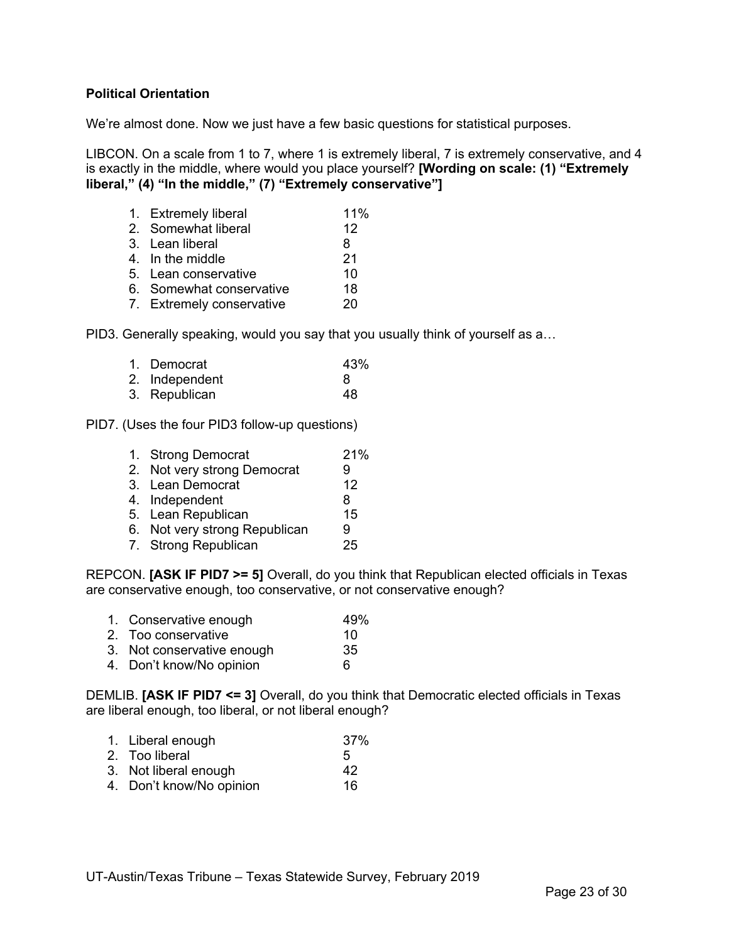#### **Political Orientation**

We're almost done. Now we just have a few basic questions for statistical purposes.

LIBCON. On a scale from 1 to 7, where 1 is extremely liberal, 7 is extremely conservative, and 4 is exactly in the middle, where would you place yourself? **[Wording on scale: (1) "Extremely liberal," (4) "In the middle," (7) "Extremely conservative"]**

| 1. Extremely liberal      | 11% |
|---------------------------|-----|
| 2. Somewhat liberal       | 12  |
| 3. Lean liberal           | 8   |
| 4. In the middle          | 21  |
| 5. Lean conservative      | 10  |
| 6. Somewhat conservative  | 18  |
| 7. Extremely conservative | 20  |

PID3. Generally speaking, would you say that you usually think of yourself as a…

| 1. Democrat    | 43% |
|----------------|-----|
| 2. Independent | 8   |
| 3. Republican  | 48  |

PID7. (Uses the four PID3 follow-up questions)

| 1. Strong Democrat            | 21% |
|-------------------------------|-----|
| 2. Not very strong Democrat   | 9   |
| 3. Lean Democrat              | 12  |
| 4. Independent                | 8   |
| 5. Lean Republican            | 15  |
| 6. Not very strong Republican | 9   |
| 7. Strong Republican          | 25  |

REPCON. **[ASK IF PID7 >= 5]** Overall, do you think that Republican elected officials in Texas are conservative enough, too conservative, or not conservative enough?

- 1. Conservative enough 49%
- 2. Too conservative 10
- 3. Not conservative enough 35
- 4. Don't know/No opinion 6

DEMLIB. **[ASK IF PID7 <= 3]** Overall, do you think that Democratic elected officials in Texas are liberal enough, too liberal, or not liberal enough?

- 1. Liberal enough 37%
- 2. Too liberal 5
- 3. Not liberal enough 42
- 4. Don't know/No opinion 16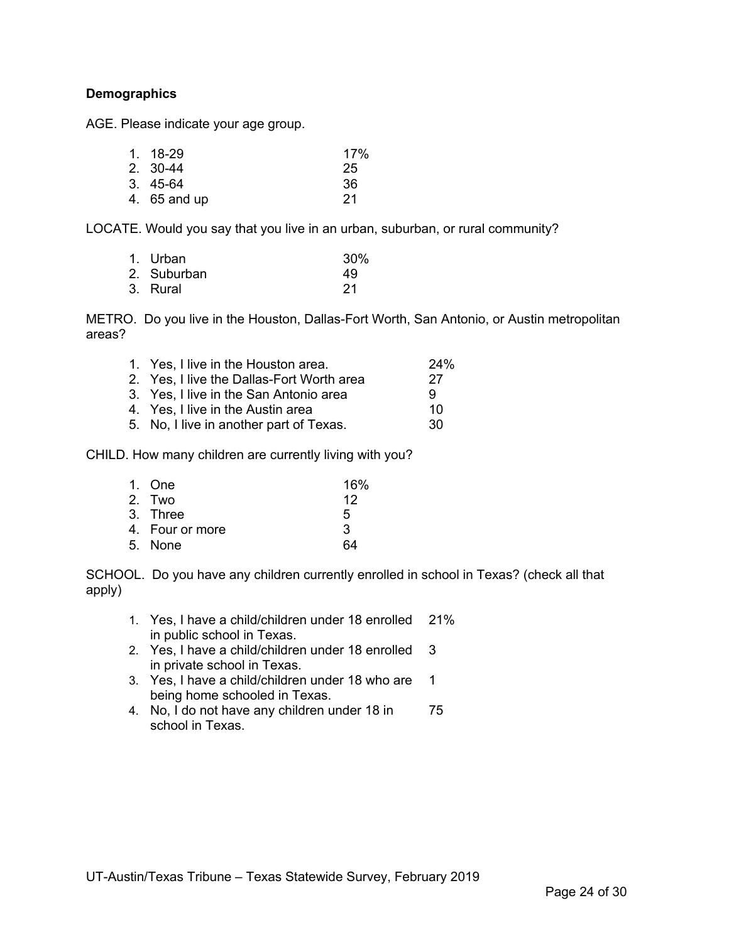#### **Demographics**

AGE. Please indicate your age group.

| 1. 18-29     | 17% |
|--------------|-----|
| 2. 30-44     | 25  |
| 3.45-64      | 36  |
| 4. 65 and up | -21 |

LOCATE. Would you say that you live in an urban, suburban, or rural community?

| 1. Urban    | 30% |
|-------------|-----|
| 2. Suburban | 49  |
| 3. Rural    | -21 |

METRO. Do you live in the Houston, Dallas-Fort Worth, San Antonio, or Austin metropolitan areas?

| 1. Yes, I live in the Houston area.       | 24% |
|-------------------------------------------|-----|
| 2. Yes, I live the Dallas-Fort Worth area | 27  |
| 3. Yes, I live in the San Antonio area    | q   |
| 4. Yes, I live in the Austin area         | 10  |
| 5. No, I live in another part of Texas.   | 30. |

CHILD. How many children are currently living with you?

| 1. One          | 16% |
|-----------------|-----|
| 2. Two          | 12  |
| 3. Three        | 5   |
| 4. Four or more | 3   |
| 5. None         | 64  |

SCHOOL. Do you have any children currently enrolled in school in Texas? (check all that apply)

- 1. Yes, I have a child/children under 18 enrolled 21% in public school in Texas.
- 2. Yes, I have a child/children under 18 enrolled 3 in private school in Texas.
- 3. Yes, I have a child/children under 18 who are 1 being home schooled in Texas.
- 4. No, I do not have any children under 18 in 75 school in Texas.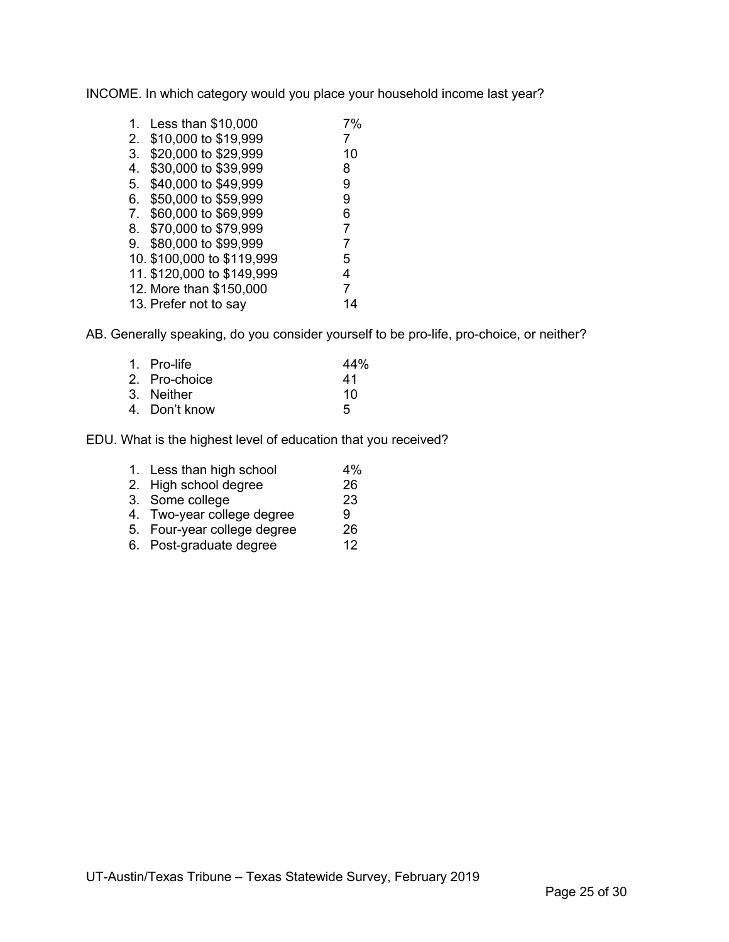INCOME. In which category would you place your household income last year?

| 1. | Less than \$10,000         | 7%             |
|----|----------------------------|----------------|
| 2. | \$10,000 to \$19,999       | 7              |
| 3. | \$20,000 to \$29,999       | 10             |
| 4. | \$30,000 to \$39,999       | 8              |
| 5. | \$40,000 to \$49,999       | 9              |
| 6. | \$50,000 to \$59,999       | 9              |
| 7. | \$60,000 to \$69,999       | 6              |
| 8. | \$70,000 to \$79,999       | $\overline{7}$ |
| 9. | \$80,000 to \$99,999       | 7              |
|    | 10. \$100,000 to \$119,999 | 5              |
|    | 11. \$120,000 to \$149,999 | 4              |
|    | 12. More than \$150,000    | 7              |
|    | 13. Prefer not to say      |                |

AB. Generally speaking, do you consider yourself to be pro-life, pro-choice, or neither?

| 44% |
|-----|
| 41  |
| 10  |
| 5   |
|     |

EDU. What is the highest level of education that you received?

| 1. Less than high school    | 4% |
|-----------------------------|----|
| 2. High school degree       | 26 |
| 3. Some college             | 23 |
| 4. Two-year college degree  | g  |
| 5. Four-year college degree | 26 |
| 6. Post-graduate degree     | 12 |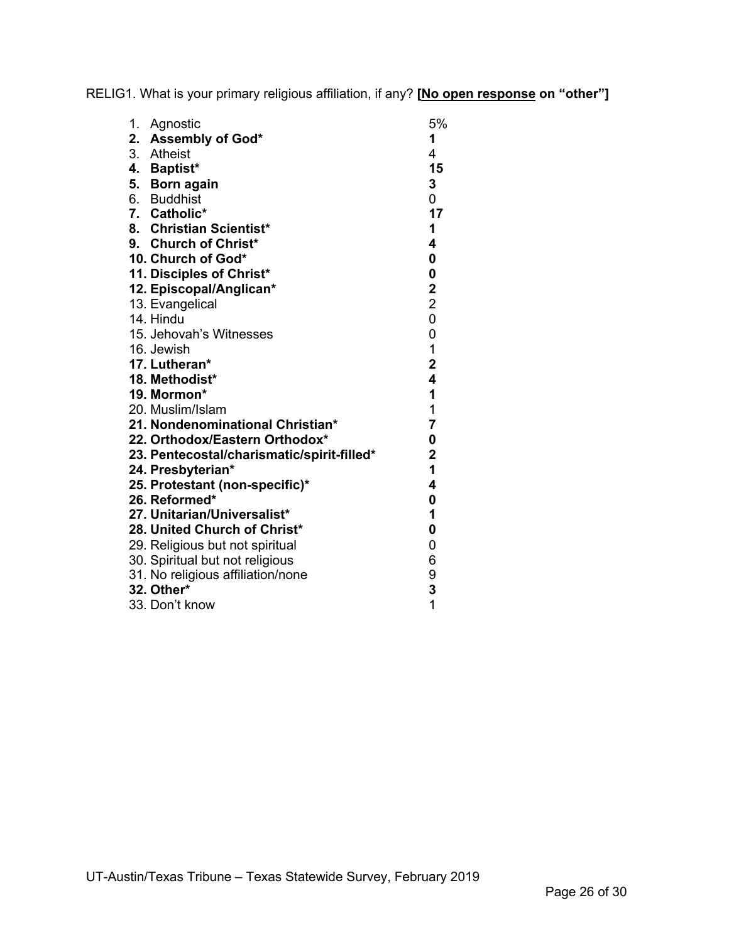RELIG1. What is your primary religious affiliation, if any? **[No open response on "other"]**

| 1.<br>Agnostic                             | 5%                      |
|--------------------------------------------|-------------------------|
| 2. Assembly of God*                        | 1                       |
| 3. Atheist                                 | 4                       |
| 4. Baptist*                                | 15                      |
| 5. Born again                              | 3                       |
| 6. Buddhist                                | 0                       |
| 7. Catholic*                               | 17                      |
| 8. Christian Scientist*                    | 1                       |
| 9. Church of Christ*                       | 4                       |
| 10. Church of God*                         | 0                       |
| 11. Disciples of Christ*                   | 0                       |
| 12. Episcopal/Anglican*                    | $\mathbf 2$             |
| 13. Evangelical                            | $\overline{c}$          |
| 14. Hindu                                  | $\overline{0}$          |
| 15. Jehovah's Witnesses                    | 0                       |
| 16. Jewish                                 | $\mathbf 1$             |
| 17. Lutheran*                              | $\overline{\mathbf{2}}$ |
| 18. Methodist*                             | 4                       |
| 19. Mormon*                                | 1                       |
| 20. Muslim/Islam                           | $\mathbf{1}$            |
| 21. Nondenominational Christian*           | $\overline{7}$          |
| 22. Orthodox/Eastern Orthodox*             | 0                       |
| 23. Pentecostal/charismatic/spirit-filled* | $\mathbf 2$             |
| 24. Presbyterian*                          | $\mathbf{1}$            |
| 25. Protestant (non-specific)*             | 4                       |
| 26. Reformed*                              | $\mathbf 0$             |
| 27. Unitarian/Universalist*                | 1                       |
| 28. United Church of Christ*               | 0                       |
| 29. Religious but not spiritual            | 0                       |
| 30. Spiritual but not religious            | 6                       |
| 31. No religious affiliation/none          | 9                       |
| 32. Other*                                 | 3                       |
| 33. Don't know                             | 1                       |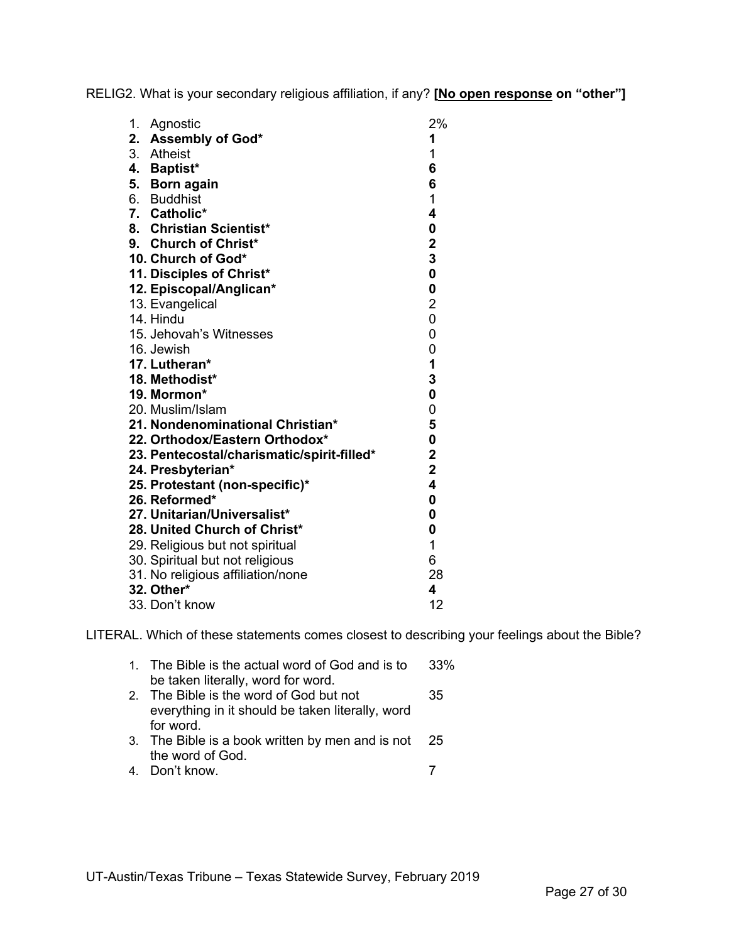RELIG2. What is your secondary religious affiliation, if any? **[No open response on "other"]**

| 1. | Agnostic                                   | 2%                      |
|----|--------------------------------------------|-------------------------|
|    | 2. Assembly of God*                        | 1                       |
|    | 3. Atheist                                 | 1                       |
|    | 4. Baptist*                                | 6                       |
|    | 5. Born again                              | 6                       |
|    | 6. Buddhist                                | 1                       |
|    | 7. Catholic*                               | 4                       |
|    | 8. Christian Scientist*                    | $\bf{0}$                |
|    | 9. Church of Christ*                       | $\overline{\mathbf{2}}$ |
|    | 10. Church of God*                         | $\overline{\mathbf{3}}$ |
|    | 11. Disciples of Christ*                   | $\bf{0}$                |
|    | 12. Episcopal/Anglican*                    | $\bf{0}$                |
|    | 13. Evangelical                            | $\overline{2}$          |
|    | 14. Hindu                                  | 0                       |
|    | 15. Jehovah's Witnesses                    | 0                       |
|    | 16. Jewish                                 | 0                       |
|    | 17. Lutheran*                              | 1                       |
|    | 18. Methodist*                             | 3                       |
|    | 19. Mormon*                                | $\bf{0}$                |
|    | 20. Muslim/Islam                           | 0                       |
|    | 21. Nondenominational Christian*           | 5                       |
|    | 22. Orthodox/Eastern Orthodox*             | $\bf{0}$                |
|    | 23. Pentecostal/charismatic/spirit-filled* | $\mathbf 2$             |
|    | 24. Presbyterian*                          | $\overline{\mathbf{2}}$ |
|    | 25. Protestant (non-specific)*             | 4                       |
|    | 26. Reformed*                              | $\bf{0}$                |
|    | 27. Unitarian/Universalist*                | 0                       |
|    | 28. United Church of Christ*               | 0                       |
|    | 29. Religious but not spiritual            | 1                       |
|    | 30. Spiritual but not religious            | 6                       |
|    | 31. No religious affiliation/none          | 28                      |
|    | 32. Other*                                 | 4                       |
|    | 33. Don't know                             | 12                      |

LITERAL. Which of these statements comes closest to describing your feelings about the Bible?

| 1. The Bible is the actual word of God and is to    | 33% |
|-----------------------------------------------------|-----|
| be taken literally, word for word.                  |     |
| 2. The Bible is the word of God but not             | 35  |
| everything in it should be taken literally, word    |     |
| for word.                                           |     |
| 3. The Bible is a book written by men and is not 25 |     |
| the word of God.                                    |     |
| 4. Don't know.                                      |     |
|                                                     |     |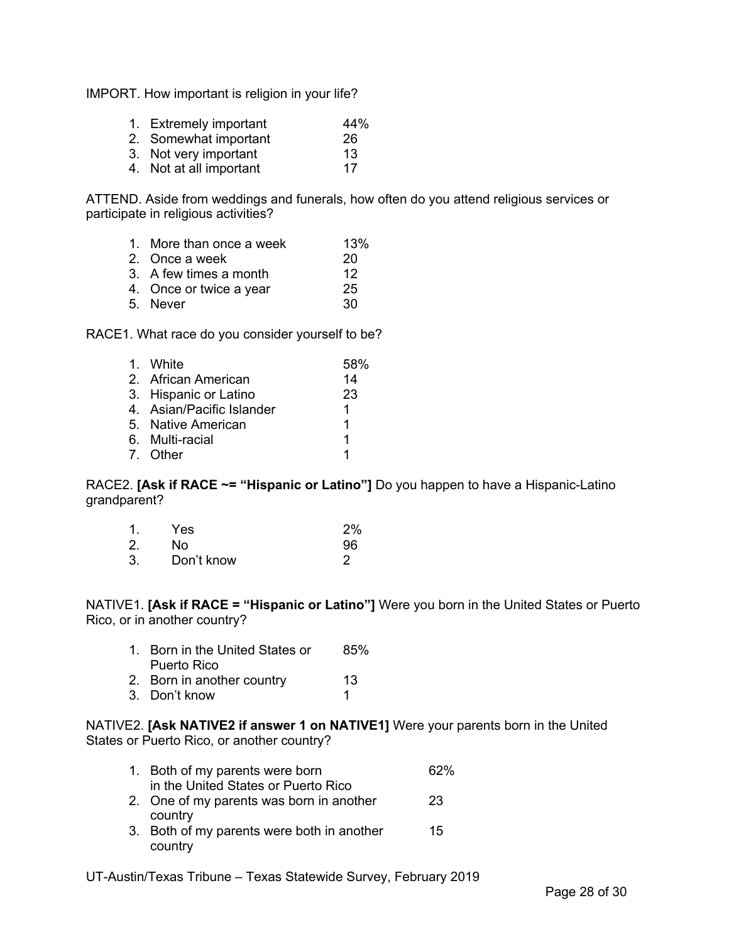IMPORT. How important is religion in your life?

| 1. Extremely important | 44% |
|------------------------|-----|
|                        |     |

| 2. Somewhat important |  |    |
|-----------------------|--|----|
|                       |  | 26 |

3. Not very important 13

4. Not at all important 17

ATTEND. Aside from weddings and funerals, how often do you attend religious services or participate in religious activities?

| 1. More than once a week | 13% |
|--------------------------|-----|
| 2. Once a week           | 20  |
| 3. A few times a month   | 12  |
| 4. Once or twice a year  | 25  |
| 5. Never                 | 30  |

RACE1. What race do you consider yourself to be?

| 1. White                  | 58% |
|---------------------------|-----|
| 2. African American       | 14  |
| 3. Hispanic or Latino     | 23  |
| 4. Asian/Pacific Islander | 1.  |
| 5. Native American        | 1   |
| 6. Multi-racial           | 1   |
| 7. Other                  | 1   |

#### RACE2. **[Ask if RACE ~= "Hispanic or Latino"]** Do you happen to have a Hispanic-Latino grandparent?

| $\mathbf{1}$ . | Yes        | 2% |
|----------------|------------|----|
| 2.             | No         | 96 |
| 3.             | Don't know |    |

NATIVE1. **[Ask if RACE = "Hispanic or Latino"]** Were you born in the United States or Puerto Rico, or in another country?

| 1. Born in the United States or | 85% |
|---------------------------------|-----|
| Puerto Rico                     |     |
| 2. Born in another country      | 13  |
| 3. Don't know                   |     |

NATIVE2. **[Ask NATIVE2 if answer 1 on NATIVE1]** Were your parents born in the United States or Puerto Rico, or another country?

| 1. Both of my parents were born            | 62% |
|--------------------------------------------|-----|
| in the United States or Puerto Rico        |     |
| 2. One of my parents was born in another   | 23  |
| country                                    |     |
| 3. Both of my parents were both in another | 15  |
| country                                    |     |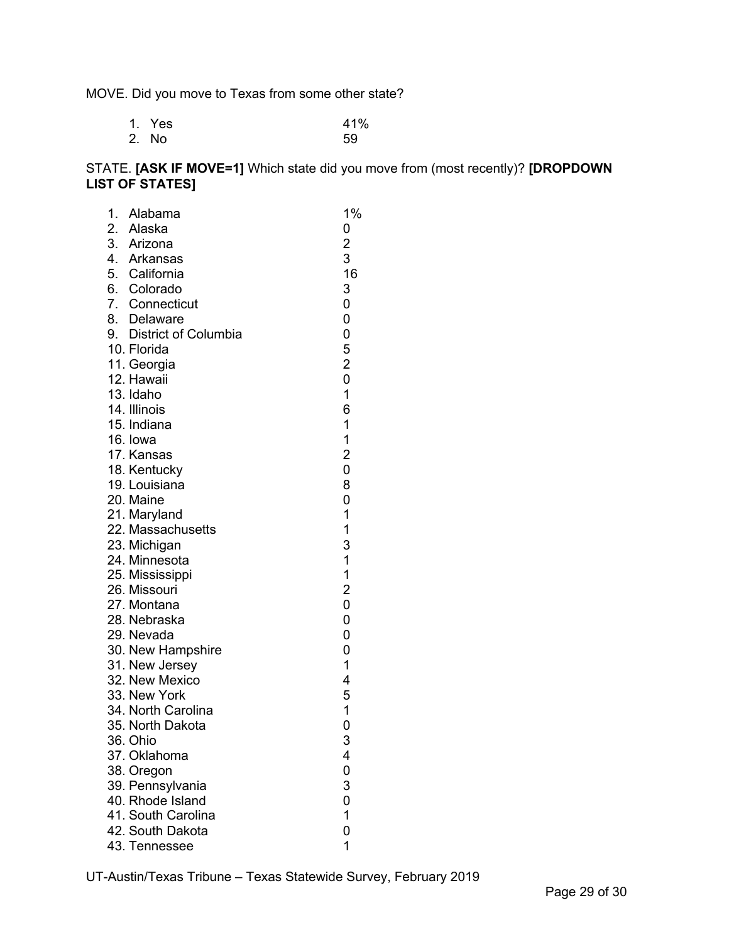MOVE. Did you move to Texas from some other state?

| 1. Yes | 41% |
|--------|-----|
| 2. No  | 59  |

# STATE. **[ASK IF MOVE=1]** Which state did you move from (most recently)? **[DROPDOWN LIST OF STATES]**

| 1. | Alabama                     | 1%                      |
|----|-----------------------------|-------------------------|
|    | 2. Alaska                   | 0                       |
|    | 3. Arizona                  | $\overline{c}$          |
|    | 4. Arkansas                 | 3                       |
|    | 5. California               | 16                      |
|    | 6. Colorado                 | 3                       |
|    | 7. Connecticut              | 0                       |
|    | 8. Delaware                 | 0                       |
|    | 9. District of Columbia     | 0                       |
|    | 10. Florida                 | 5                       |
|    | 11. Georgia                 | $\overline{\mathbf{c}}$ |
|    | 12. Hawaii                  | 0                       |
|    | 13. Idaho                   | 1                       |
|    | 14. Illinois                | 6                       |
|    | 15. Indiana                 | 1                       |
|    | 16. Iowa                    | 1                       |
|    | 17. Kansas                  | $\overline{\mathbf{c}}$ |
|    | 18. Kentucky                | 0                       |
|    | 19. Louisiana               | 8                       |
|    | 20. Maine                   | 0                       |
|    | 21. Maryland                | 1                       |
|    | 22. Massachusetts           | $\mathbf 1$             |
|    | 23. Michigan                | 3<br>$\overline{1}$     |
|    | 24. Minnesota               | $\mathbf 1$             |
|    | 25. Mississippi             | $\overline{2}$          |
|    | 26. Missouri<br>27. Montana | 0                       |
|    | 28. Nebraska                | 0                       |
|    | 29. Nevada                  | 0                       |
|    | 30. New Hampshire           | 0                       |
|    | 31. New Jersey              | 1                       |
|    | 32. New Mexico              | 4                       |
|    | 33. New York                | 5                       |
|    | 34. North Carolina          | 1                       |
|    | 35. North Dakota            | 0                       |
|    | 36. Ohio                    | 3                       |
|    | 37. Oklahoma                | 4                       |
|    | 38. Oregon                  | 0                       |
|    | 39. Pennsylvania            | 3                       |
|    | 40. Rhode Island            | 0                       |
|    | 41. South Carolina          | 1                       |
|    | 42. South Dakota            | 0                       |
|    | 43. Tennessee               | 1                       |
|    |                             |                         |